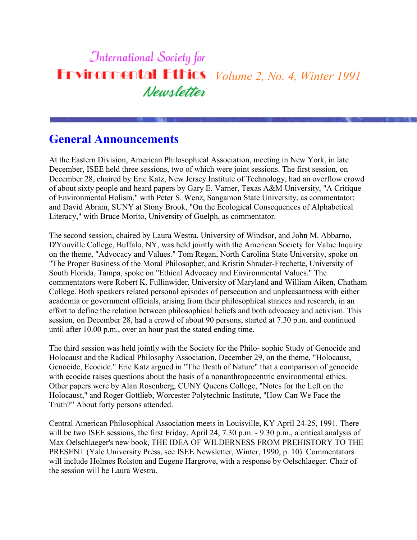#### **International Society for Environmental Ethics** *Volume 2, No. 4, Winter 1991* Newsletter

## **General Announcements**

At the Eastern Division, American Philosophical Association, meeting in New York, in late December, ISEE held three sessions, two of which were joint sessions. The first session, on December 28, chaired by Eric Katz, New Jersey Institute of Technology, had an overflow crowd of about sixty people and heard papers by Gary E. Varner, Texas A&M University, "A Critique of Environmental Holism," with Peter S. Wenz, Sangamon State University, as commentator; and David Abram, SUNY at Stony Brook, "On the Ecological Consequences of Alphabetical Literacy," with Bruce Morito, University of Guelph, as commentator.

The second session, chaired by Laura Westra, University of Windsor, and John M. Abbarno, D'Youville College, Buffalo, NY, was held jointly with the American Society for Value Inquiry on the theme, "Advocacy and Values." Tom Regan, North Carolina State University, spoke on "The Proper Business of the Moral Philosopher, and Kristin Shrader-Frechette, University of South Florida, Tampa, spoke on "Ethical Advocacy and Environmental Values." The commentators were Robert K. Fullinwider, University of Maryland and William Aiken, Chatham College. Both speakers related personal episodes of persecution and unpleasantness with either academia or government officials, arising from their philosophical stances and research, in an effort to define the relation between philosophical beliefs and both advocacy and activism. This session, on December 28, had a crowd of about 90 persons, started at 7.30 p.m. and continued until after 10.00 p.m., over an hour past the stated ending time.

The third session was held jointly with the Society for the Philo- sophic Study of Genocide and Holocaust and the Radical Philosophy Association, December 29, on the theme, "Holocaust, Genocide, Ecocide." Eric Katz argued in "The Death of Nature" that a comparison of genocide with ecocide raises questions about the basis of a nonanthropocentric environmental ethics. Other papers were by Alan Rosenberg, CUNY Queens College, "Notes for the Left on the Holocaust," and Roger Gottlieb, Worcester Polytechnic Institute, "How Can We Face the Truth?" About forty persons attended.

Central American Philosophical Association meets in Louisville, KY April 24-25, 1991. There will be two ISEE sessions, the first Friday, April 24, 7.30 p.m. - 9.30 p.m., a critical analysis of Max Oelschlaeger's new book, THE IDEA OF WILDERNESS FROM PREHISTORY TO THE PRESENT (Yale University Press, see ISEE Newsletter, Winter, 1990, p. 10). Commentators will include Holmes Rolston and Eugene Hargrove, with a response by Oelschlaeger. Chair of the session will be Laura Westra.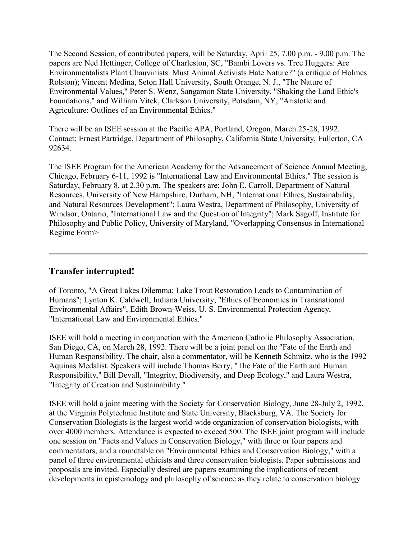The Second Session, of contributed papers, will be Saturday, April 25, 7.00 p.m. - 9.00 p.m. The papers are Ned Hettinger, College of Charleston, SC, "Bambi Lovers vs. Tree Huggers: Are Environmentalists Plant Chauvinists: Must Animal Activists Hate Nature?" (a critique of Holmes Rolston); Vincent Medina, Seton Hall University, South Orange, N. J., "The Nature of Environmental Values," Peter S. Wenz, Sangamon State University, "Shaking the Land Ethic's Foundations," and William Vitek, Clarkson University, Potsdam, NY, "Aristotle and Agriculture: Outlines of an Environmental Ethics."

There will be an ISEE session at the Pacific APA, Portland, Oregon, March 25-28, 1992. Contact: Ernest Partridge, Department of Philosophy, California State University, Fullerton, CA 92634.

The ISEE Program for the American Academy for the Advancement of Science Annual Meeting, Chicago, February 6-11, 1992 is "International Law and Environmental Ethics." The session is Saturday, February 8, at 2.30 p.m. The speakers are: John E. Carroll, Department of Natural Resources, University of New Hampshire, Durham, NH, "International Ethics, Sustainability, and Natural Resources Development"; Laura Westra, Department of Philosophy, University of Windsor, Ontario, "International Law and the Question of Integrity"; Mark Sagoff, Institute for Philosophy and Public Policy, University of Maryland, "Overlapping Consensus in International Regime Form>

#### **Transfer interrupted!**

of Toronto, "A Great Lakes Dilemma: Lake Trout Restoration Leads to Contamination of Humans"; Lynton K. Caldwell, Indiana University, "Ethics of Economics in Transnational Environmental Affairs", Edith Brown-Weiss, U. S. Environmental Protection Agency, "International Law and Environmental Ethics."

ISEE will hold a meeting in conjunction with the American Catholic Philosophy Association, San Diego, CA, on March 28, 1992. There will be a joint panel on the "Fate of the Earth and Human Responsibility. The chair, also a commentator, will be Kenneth Schmitz, who is the 1992 Aquinas Medalist. Speakers will include Thomas Berry, "The Fate of the Earth and Human Responsibility," Bill Devall, "Integrity, Biodiversity, and Deep Ecology," and Laura Westra, "Integrity of Creation and Sustainability."

ISEE will hold a joint meeting with the Society for Conservation Biology, June 28-July 2, 1992, at the Virginia Polytechnic Institute and State University, Blacksburg, VA. The Society for Conservation Biologists is the largest world-wide organization of conservation biologists, with over 4000 members. Attendance is expected to exceed 500. The ISEE joint program will include one session on "Facts and Values in Conservation Biology," with three or four papers and commentators, and a roundtable on "Environmental Ethics and Conservation Biology," with a panel of three environmental ethicists and three conservation biologists. Paper submissions and proposals are invited. Especially desired are papers examining the implications of recent developments in epistemology and philosophy of science as they relate to conservation biology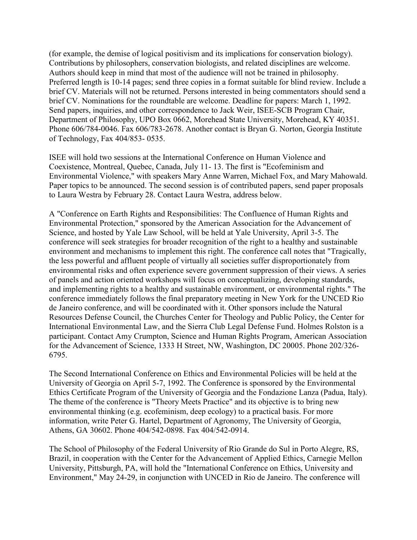(for example, the demise of logical positivism and its implications for conservation biology). Contributions by philosophers, conservation biologists, and related disciplines are welcome. Authors should keep in mind that most of the audience will not be trained in philosophy. Preferred length is 10-14 pages; send three copies in a format suitable for blind review. Include a brief CV. Materials will not be returned. Persons interested in being commentators should send a brief CV. Nominations for the roundtable are welcome. Deadline for papers: March 1, 1992. Send papers, inquiries, and other correspondence to Jack Weir, ISEE-SCB Program Chair, Department of Philosophy, UPO Box 0662, Morehead State University, Morehead, KY 40351. Phone 606/784-0046. Fax 606/783-2678. Another contact is Bryan G. Norton, Georgia Institute of Technology, Fax 404/853- 0535.

ISEE will hold two sessions at the International Conference on Human Violence and Coexistence, Montreal, Quebec, Canada, July 11- 13. The first is "Ecofeminism and Environmental Violence," with speakers Mary Anne Warren, Michael Fox, and Mary Mahowald. Paper topics to be announced. The second session is of contributed papers, send paper proposals to Laura Westra by February 28. Contact Laura Westra, address below.

A "Conference on Earth Rights and Responsibilities: The Confluence of Human Rights and Environmental Protection," sponsored by the American Association for the Advancement of Science, and hosted by Yale Law School, will be held at Yale University, April 3-5. The conference will seek strategies for broader recognition of the right to a healthy and sustainable environment and mechanisms to implement this right. The conference call notes that "Tragically, the less powerful and affluent people of virtually all societies suffer disproportionately from environmental risks and often experience severe government suppression of their views. A series of panels and action oriented workshops will focus on conceptualizing, developing standards, and implementing rights to a healthy and sustainable environment, or environmental rights." The conference immediately follows the final preparatory meeting in New York for the UNCED Rio de Janeiro conference, and will be coordinated with it. Other sponsors include the Natural Resources Defense Council, the Churches Center for Theology and Public Policy, the Center for International Environmental Law, and the Sierra Club Legal Defense Fund. Holmes Rolston is a participant. Contact Amy Crumpton, Science and Human Rights Program, American Association for the Advancement of Science, 1333 H Street, NW, Washington, DC 20005. Phone 202/326- 6795.

The Second International Conference on Ethics and Environmental Policies will be held at the University of Georgia on April 5-7, 1992. The Conference is sponsored by the Environmental Ethics Certificate Program of the University of Georgia and the Fondazione Lanza (Padua, Italy). The theme of the conference is "Theory Meets Practice" and its objective is to bring new environmental thinking (e.g. ecofeminism, deep ecology) to a practical basis. For more information, write Peter G. Hartel, Department of Agronomy, The University of Georgia, Athens, GA 30602. Phone 404/542-0898. Fax 404/542-0914.

The School of Philosophy of the Federal University of Rio Grande do Sul in Porto Alegre, RS, Brazil, in cooperation with the Center for the Advancement of Applied Ethics, Carnegie Mellon University, Pittsburgh, PA, will hold the "International Conference on Ethics, University and Environment," May 24-29, in conjunction with UNCED in Rio de Janeiro. The conference will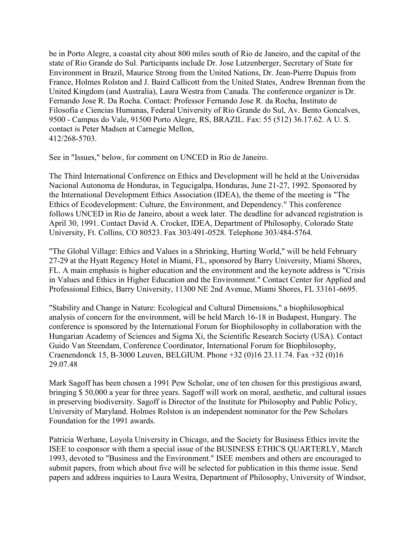be in Porto Alegre, a coastal city about 800 miles south of Rio de Janeiro, and the capital of the state of Rio Grande do Sul. Participants include Dr. Jose Lutzenberger, Secretary of State for Environment in Brazil, Maurice Strong from the United Nations, Dr. Jean-Pierre Dupuis from France, Holmes Rolston and J. Baird Callicott from the United States, Andrew Brennan from the United Kingdom (and Australia), Laura Westra from Canada. The conference organizer is Dr. Fernando Jose R. Da Rocha. Contact: Professor Fernando Jose R. da Rocha, Instituto de Filosofia e Ciencias Humanas, Federal University of Rio Grande do Sul, Av. Bento Goncalves, 9500 - Campus do Vale, 91500 Porto Alegre, RS, BRAZIL. Fax: 55 (512) 36.17.62. A U. S. contact is Peter Madsen at Carnegie Mellon, 412/268-5703.

See in "Issues," below, for comment on UNCED in Rio de Janeiro.

The Third International Conference on Ethics and Development will be held at the Universidas Nacional Autonoma de Honduras, in Tegucigalpa, Honduras, June 21-27, 1992. Sponsored by the International Development Ethics Association (IDEA), the theme of the meeting is "The Ethics of Ecodevelopment: Culture, the Environment, and Dependency." This conference follows UNCED in Rio de Janeiro, about a week later. The deadline for advanced registration is April 30, 1991. Contact David A. Crocker, IDEA, Department of Philosophy, Colorado State University, Ft. Collins, CO 80523. Fax 303/491-0528. Telephone 303/484-5764.

"The Global Village: Ethics and Values in a Shrinking, Hurting World," will be held February 27-29 at the Hyatt Regency Hotel in Miami, FL, sponsored by Barry University, Miami Shores, FL. A main emphasis is higher education and the environment and the keynote address is "Crisis in Values and Ethics in Higher Education and the Environment." Contact Center for Applied and Professional Ethics, Barry University, 11300 NE 2nd Avenue, Miami Shores, FL 33161-6695.

"Stability and Change in Nature: Ecological and Cultural Dimensions," a biophilosophical analysis of concern for the environment, will be held March 16-18 in Budapest, Hungary. The conference is sponsored by the International Forum for Biophilosophy in collaboration with the Hungarian Academy of Sciences and Sigma Xi, the Scientific Research Society (USA). Contact Guido Van Steendam, Conference Coordinator, International Forum for Biophilosophy, Craenendonck 15, B-3000 Leuven, BELGIUM. Phone +32 (0)16 23.11.74. Fax +32 (0)16 29.07.48

Mark Sagoff has been chosen a 1991 Pew Scholar, one of ten chosen for this prestigious award, bringing \$ 50,000 a year for three years. Sagoff will work on moral, aesthetic, and cultural issues in preserving biodiversity. Sagoff is Director of the Institute for Philosophy and Public Policy, University of Maryland. Holmes Rolston is an independent nominator for the Pew Scholars Foundation for the 1991 awards.

Patricia Werhane, Loyola University in Chicago, and the Society for Business Ethics invite the ISEE to cosponsor with them a special issue of the BUSINESS ETHICS QUARTERLY, March 1993, devoted to "Business and the Environment." ISEE members and others are encouraged to submit papers, from which about five will be selected for publication in this theme issue. Send papers and address inquiries to Laura Westra, Department of Philosophy, University of Windsor,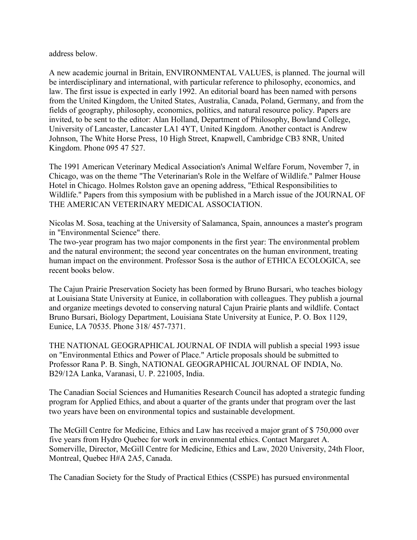address below.

A new academic journal in Britain, ENVIRONMENTAL VALUES, is planned. The journal will be interdisciplinary and international, with particular reference to philosophy, economics, and law. The first issue is expected in early 1992. An editorial board has been named with persons from the United Kingdom, the United States, Australia, Canada, Poland, Germany, and from the fields of geography, philosophy, economics, politics, and natural resource policy. Papers are invited, to be sent to the editor: Alan Holland, Department of Philosophy, Bowland College, University of Lancaster, Lancaster LA1 4YT, United Kingdom. Another contact is Andrew Johnson, The White Horse Press, 10 High Street, Knapwell, Cambridge CB3 8NR, United Kingdom. Phone 095 47 527.

The 1991 American Veterinary Medical Association's Animal Welfare Forum, November 7, in Chicago, was on the theme "The Veterinarian's Role in the Welfare of Wildlife." Palmer House Hotel in Chicago. Holmes Rolston gave an opening address, "Ethical Responsibilities to Wildlife." Papers from this symposium with be published in a March issue of the JOURNAL OF THE AMERICAN VETERINARY MEDICAL ASSOCIATION.

Nicolas M. Sosa, teaching at the University of Salamanca, Spain, announces a master's program in "Environmental Science" there.

The two-year program has two major components in the first year: The environmental problem and the natural environment; the second year concentrates on the human environment, treating human impact on the environment. Professor Sosa is the author of ETHICA ECOLOGICA, see recent books below.

The Cajun Prairie Preservation Society has been formed by Bruno Bursari, who teaches biology at Louisiana State University at Eunice, in collaboration with colleagues. They publish a journal and organize meetings devoted to conserving natural Cajun Prairie plants and wildlife. Contact Bruno Bursari, Biology Department, Louisiana State University at Eunice, P. O. Box 1129, Eunice, LA 70535. Phone 318/ 457-7371.

THE NATIONAL GEOGRAPHICAL JOURNAL OF INDIA will publish a special 1993 issue on "Environmental Ethics and Power of Place." Article proposals should be submitted to Professor Rana P. B. Singh, NATIONAL GEOGRAPHICAL JOURNAL OF INDIA, No. B29/12A Lanka, Varanasi, U. P. 221005, India.

The Canadian Social Sciences and Humanities Research Council has adopted a strategic funding program for Applied Ethics, and about a quarter of the grants under that program over the last two years have been on environmental topics and sustainable development.

The McGill Centre for Medicine, Ethics and Law has received a major grant of \$ 750,000 over five years from Hydro Quebec for work in environmental ethics. Contact Margaret A. Somerville, Director, McGill Centre for Medicine, Ethics and Law, 2020 University, 24th Floor, Montreal, Quebec H#A 2A5, Canada.

The Canadian Society for the Study of Practical Ethics (CSSPE) has pursued environmental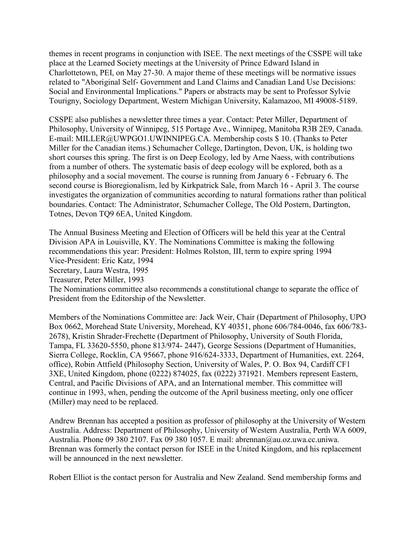themes in recent programs in conjunction with ISEE. The next meetings of the CSSPE will take place at the Learned Society meetings at the University of Prince Edward Island in Charlottetown, PEI, on May 27-30. A major theme of these meetings will be normative issues related to "Aboriginal Self- Government and Land Claims and Canadian Land Use Decisions: Social and Environmental Implications." Papers or abstracts may be sent to Professor Sylvie Tourigny, Sociology Department, Western Michigan University, Kalamazoo, MI 49008-5189.

CSSPE also publishes a newsletter three times a year. Contact: Peter Miller, Department of Philosophy, University of Winnipeg, 515 Portage Ave., Winnipeg, Manitoba R3B 2E9, Canada. E-mail: MILLER@UWPGO1.UWINNIPEG.CA. Membership costs \$ 10. (Thanks to Peter Miller for the Canadian items.) Schumacher College, Dartington, Devon, UK, is holding two short courses this spring. The first is on Deep Ecology, led by Arne Naess, with contributions from a number of others. The systematic basis of deep ecology will be explored, both as a philosophy and a social movement. The course is running from January 6 - February 6. The second course is Bioregionalism, led by Kirkpatrick Sale, from March 16 - April 3. The course investigates the organization of communities according to natural formations rather than political boundaries. Contact: The Administrator, Schumacher College, The Old Postern, Dartington, Totnes, Devon TQ9 6EA, United Kingdom.

The Annual Business Meeting and Election of Officers will be held this year at the Central Division APA in Louisville, KY. The Nominations Committee is making the following recommendations this year: President: Holmes Rolston, III, term to expire spring 1994 Vice-President: Eric Katz, 1994 Secretary, Laura Westra, 1995 Treasurer, Peter Miller, 1993 The Nominations committee also recommends a constitutional change to separate the office of President from the Editorship of the Newsletter.

Members of the Nominations Committee are: Jack Weir, Chair (Department of Philosophy, UPO Box 0662, Morehead State University, Morehead, KY 40351, phone 606/784-0046, fax 606/783- 2678), Kristin Shrader-Frechette (Department of Philosophy, University of South Florida, Tampa, FL 33620-5550, phone 813/974- 2447), George Sessions (Department of Humanities, Sierra College, Rocklin, CA 95667, phone 916/624-3333, Department of Humanities, ext. 2264, office), Robin Attfield (Philosophy Section, University of Wales, P. O. Box 94, Cardiff CF1 3XE, United Kingdom, phone (0222) 874025, fax (0222) 371921. Members represent Eastern, Central, and Pacific Divisions of APA, and an International member. This committee will continue in 1993, when, pending the outcome of the April business meeting, only one officer (Miller) may need to be replaced.

Andrew Brennan has accepted a position as professor of philosophy at the University of Western Australia. Address: Department of Philosophy, University of Western Australia, Perth WA 6009, Australia. Phone 09 380 2107. Fax 09 380 1057. E mail: abrennan@au.oz.uwa.cc.uniwa. Brennan was formerly the contact person for ISEE in the United Kingdom, and his replacement will be announced in the next newsletter.

Robert Elliot is the contact person for Australia and New Zealand. Send membership forms and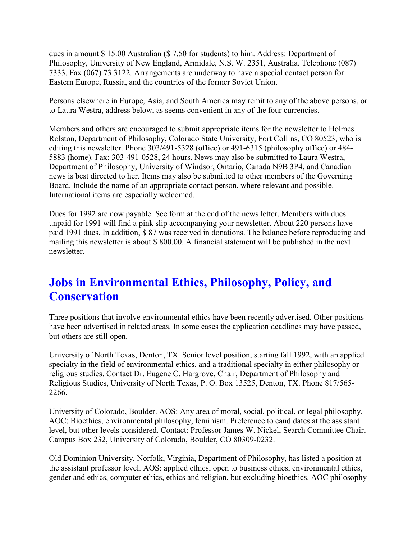dues in amount \$ 15.00 Australian (\$ 7.50 for students) to him. Address: Department of Philosophy, University of New England, Armidale, N.S. W. 2351, Australia. Telephone (087) 7333. Fax (067) 73 3122. Arrangements are underway to have a special contact person for Eastern Europe, Russia, and the countries of the former Soviet Union.

Persons elsewhere in Europe, Asia, and South America may remit to any of the above persons, or to Laura Westra, address below, as seems convenient in any of the four currencies.

Members and others are encouraged to submit appropriate items for the newsletter to Holmes Rolston, Department of Philosophy, Colorado State University, Fort Collins, CO 80523, who is editing this newsletter. Phone 303/491-5328 (office) or 491-6315 (philosophy office) or 484- 5883 (home). Fax: 303-491-0528, 24 hours. News may also be submitted to Laura Westra, Department of Philosophy, University of Windsor, Ontario, Canada N9B 3P4, and Canadian news is best directed to her. Items may also be submitted to other members of the Governing Board. Include the name of an appropriate contact person, where relevant and possible. International items are especially welcomed.

Dues for 1992 are now payable. See form at the end of the news letter. Members with dues unpaid for 1991 will find a pink slip accompanying your newsletter. About 220 persons have paid 1991 dues. In addition, \$ 87 was received in donations. The balance before reproducing and mailing this newsletter is about \$ 800.00. A financial statement will be published in the next newsletter.

# **Jobs in Environmental Ethics, Philosophy, Policy, and Conservation**

Three positions that involve environmental ethics have been recently advertised. Other positions have been advertised in related areas. In some cases the application deadlines may have passed, but others are still open.

University of North Texas, Denton, TX. Senior level position, starting fall 1992, with an applied specialty in the field of environmental ethics, and a traditional specialty in either philosophy or religious studies. Contact Dr. Eugene C. Hargrove, Chair, Department of Philosophy and Religious Studies, University of North Texas, P. O. Box 13525, Denton, TX. Phone 817/565- 2266.

University of Colorado, Boulder. AOS: Any area of moral, social, political, or legal philosophy. AOC: Bioethics, environmental philosophy, feminism. Preference to candidates at the assistant level, but other levels considered. Contact: Professor James W. Nickel, Search Committee Chair, Campus Box 232, University of Colorado, Boulder, CO 80309-0232.

Old Dominion University, Norfolk, Virginia, Department of Philosophy, has listed a position at the assistant professor level. AOS: applied ethics, open to business ethics, environmental ethics, gender and ethics, computer ethics, ethics and religion, but excluding bioethics. AOC philosophy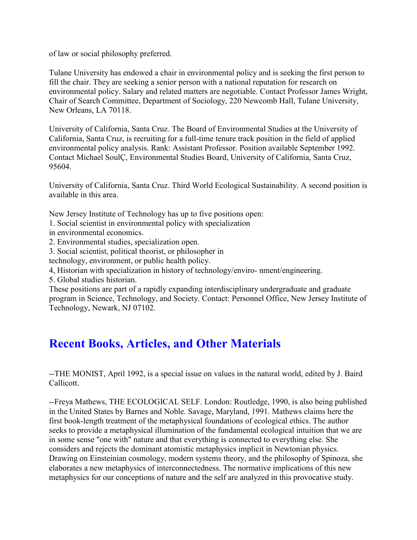of law or social philosophy preferred.

Tulane University has endowed a chair in environmental policy and is seeking the first person to fill the chair. They are seeking a senior person with a national reputation for research on environmental policy. Salary and related matters are negotiable. Contact Professor James Wright, Chair of Search Committee, Department of Sociology, 220 Newcomb Hall, Tulane University, New Orleans, LA 70118.

University of California, Santa Cruz. The Board of Environmental Studies at the University of California, Santa Cruz, is recruiting for a full-time tenure track position in the field of applied environmental policy analysis. Rank: Assistant Professor. Position available September 1992. Contact Michael SoulÇ, Environmental Studies Board, University of California, Santa Cruz, 95604.

University of California, Santa Cruz. Third World Ecological Sustainability. A second position is available in this area.

New Jersey Institute of Technology has up to five positions open:

- 1. Social scientist in environmental policy with specialization
- in environmental economics.
- 2. Environmental studies, specialization open.
- 3. Social scientist, political theorist, or philosopher in
- technology, environment, or public health policy.
- 4, Historian with specialization in history of technology/enviro- nment/engineering.

5. Global studies historian.

These positions are part of a rapidly expanding interdisciplinary undergraduate and graduate program in Science, Technology, and Society. Contact: Personnel Office, New Jersey Institute of Technology, Newark, NJ 07102.

# **Recent Books, Articles, and Other Materials**

--THE MONIST, April 1992, is a special issue on values in the natural world, edited by J. Baird Callicott.

--Freya Mathews, THE ECOLOGICAL SELF. London: Routledge, 1990, is also being published in the United States by Barnes and Noble. Savage, Maryland, 1991. Mathews claims here the first book-length treatment of the metaphysical foundations of ecological ethics. The author seeks to provide a metaphysical illumination of the fundamental ecological intuition that we are in some sense "one with" nature and that everything is connected to everything else. She considers and rejects the dominant atomistic metaphysics implicit in Newtonian physics. Drawing on Einsteinian cosmology, modern systems theory, and the philosophy of Spinoza, she elaborates a new metaphysics of interconnectedness. The normative implications of this new metaphysics for our conceptions of nature and the self are analyzed in this provocative study.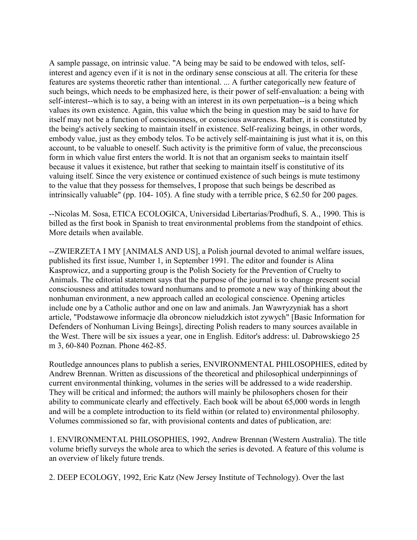A sample passage, on intrinsic value. "A being may be said to be endowed with telos, selfinterest and agency even if it is not in the ordinary sense conscious at all. The criteria for these features are systems theoretic rather than intentional. ... A further categorically new feature of such beings, which needs to be emphasized here, is their power of self-envaluation: a being with self-interest--which is to say, a being with an interest in its own perpetuation--is a being which values its own existence. Again, this value which the being in question may be said to have for itself may not be a function of consciousness, or conscious awareness. Rather, it is constituted by the being's actively seeking to maintain itself in existence. Self-realizing beings, in other words, embody value, just as they embody telos. To be actively self-maintaining is just what it is, on this account, to be valuable to oneself. Such activity is the primitive form of value, the preconscious form in which value first enters the world. It is not that an organism seeks to maintain itself because it values it existence, but rather that seeking to maintain itself is constitutive of its valuing itself. Since the very existence or continued existence of such beings is mute testimony to the value that they possess for themselves, I propose that such beings be described as intrinsically valuable" (pp. 104- 105). A fine study with a terrible price, \$ 62.50 for 200 pages.

--Nicolas M. Sosa, ETICA ECOLOGICA, Universidad Libertarias/Prodhufi, S. A., 1990. This is billed as the first book in Spanish to treat environmental problems from the standpoint of ethics. More details when available.

--ZWIERZETA I MY [ANIMALS AND US], a Polish journal devoted to animal welfare issues, published its first issue, Number 1, in September 1991. The editor and founder is Alina Kasprowicz, and a supporting group is the Polish Society for the Prevention of Cruelty to Animals. The editorial statement says that the purpose of the journal is to change present social consciousness and attitudes toward nonhumans and to promote a new way of thinking about the nonhuman environment, a new approach called an ecological conscience. Opening articles include one by a Catholic author and one on law and animals. Jan Wawryzyniak has a short article, "Podstawowe informacje dla obroncow nieludzkich istot zywych" [Basic Information for Defenders of Nonhuman Living Beings], directing Polish readers to many sources available in the West. There will be six issues a year, one in English. Editor's address: ul. Dabrowskiego 25 m 3, 60-840 Poznan. Phone 462-85.

Routledge announces plans to publish a series, ENVIRONMENTAL PHILOSOPHIES, edited by Andrew Brennan. Written as discussions of the theoretical and philosophical underpinnings of current environmental thinking, volumes in the series will be addressed to a wide readership. They will be critical and informed; the authors will mainly be philosophers chosen for their ability to communicate clearly and effectively. Each book will be about 65,000 words in length and will be a complete introduction to its field within (or related to) environmental philosophy. Volumes commissioned so far, with provisional contents and dates of publication, are:

1. ENVIRONMENTAL PHILOSOPHIES, 1992, Andrew Brennan (Western Australia). The title volume briefly surveys the whole area to which the series is devoted. A feature of this volume is an overview of likely future trends.

2. DEEP ECOLOGY, 1992, Eric Katz (New Jersey Institute of Technology). Over the last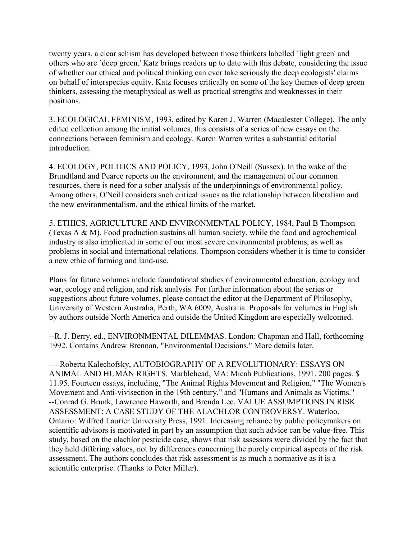twenty years, a clear schism has developed between those thinkers labelled `light green' and others who are `deep green.' Katz brings readers up to date with this debate, considering the issue of whether our ethical and political thinking can ever take seriously the deep ecologists' claims on behalf of interspecies equity. Katz focuses critically on some of the key themes of deep green thinkers, assessing the metaphysical as well as practical strengths and weaknesses in their positions.

3. ECOLOGICAL FEMINISM, 1993, edited by Karen J. Warren (Macalester College). The only edited collection among the initial volumes, this consists of a series of new essays on the connections between feminism and ecology. Karen Warren writes a substantial editorial introduction.

4. ECOLOGY, POLITICS AND POLICY, 1993, John O'Neill (Sussex). In the wake of the Brundtland and Pearce reports on the environment, and the management of our common resources, there is need for a sober analysis of the underpinnings of environmental policy. Among others, O'Neill considers such critical issues as the relationship between liberalism and the new environmentalism, and the ethical limits of the market.

5. ETHICS, AGRICULTURE AND ENVIRONMENTAL POLICY, 1984, Paul B Thompson (Texas A & M). Food production sustains all human society, while the food and agrochemical industry is also implicated in some of our most severe environmental problems, as well as problems in social and international relations. Thompson considers whether it is time to consider a new ethic of farming and land-use.

Plans for future volumes include foundational studies of environmental education, ecology and war, ecology and religion, and risk analysis. For further information about the series or suggestions about future volumes, please contact the editor at the Department of Philosophy, University of Western Australia, Perth, WA 6009, Australia. Proposals for volumes in English by authors outside North America and outside the United Kingdom are especially welcomed.

--R. J. Berry, ed., ENVIRONMENTAL DILEMMAS. London: Chapman and Hall, forthcoming 1992. Contains Andrew Brennan, "Environmental Decisions." More details later.

----Roberta Kalechofsky, AUTOBIOGRAPHY OF A REVOLUTIONARY: ESSAYS ON ANIMAL AND HUMAN RIGHTS. Marblehead, MA: Micah Publications, 1991. 200 pages. \$ 11.95. Fourteen essays, including, "The Animal Rights Movement and Religion," "The Women's Movement and Anti-vivisection in the 19th century," and "Humans and Animals as Victims." --Conrad G. Brunk, Lawrence Haworth, and Brenda Lee, VALUE ASSUMPTIONS IN RISK ASSESSMENT: A CASE STUDY OF THE ALACHLOR CONTROVERSY. Waterloo, Ontario: Wilfred Laurier University Press, 1991. Increasing reliance by public policymakers on scientific advisors is motivated in part by an assumption that such advice can be value-free. This study, based on the alachlor pesticide case, shows that risk assessors were divided by the fact that they held differing values, not by differences concerning the purely empirical aspects of the risk assessment. The authors concludes that risk assessment is as much a normative as it is a scientific enterprise. (Thanks to Peter Miller).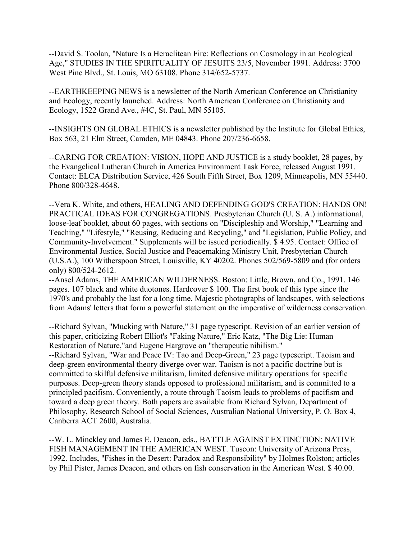--David S. Toolan, "Nature Is a Heraclitean Fire: Reflections on Cosmology in an Ecological Age," STUDIES IN THE SPIRITUALITY OF JESUITS 23/5, November 1991. Address: 3700 West Pine Blvd., St. Louis, MO 63108. Phone 314/652-5737.

--EARTHKEEPING NEWS is a newsletter of the North American Conference on Christianity and Ecology, recently launched. Address: North American Conference on Christianity and Ecology, 1522 Grand Ave., #4C, St. Paul, MN 55105.

--INSIGHTS ON GLOBAL ETHICS is a newsletter published by the Institute for Global Ethics, Box 563, 21 Elm Street, Camden, ME 04843. Phone 207/236-6658.

--CARING FOR CREATION: VISION, HOPE AND JUSTICE is a study booklet, 28 pages, by the Evangelical Lutheran Church in America Environment Task Force, released August 1991. Contact: ELCA Distribution Service, 426 South Fifth Street, Box 1209, Minneapolis, MN 55440. Phone 800/328-4648.

--Vera K. White, and others, HEALING AND DEFENDING GOD'S CREATION: HANDS ON! PRACTICAL IDEAS FOR CONGREGATIONS. Presbyterian Church (U. S. A.) informational, loose-leaf booklet, about 60 pages, with sections on "Discipleship and Worship," "Learning and Teaching," "Lifestyle," "Reusing, Reducing and Recycling," and "Legislation, Public Policy, and Community-Involvement." Supplements will be issued periodically. \$ 4.95. Contact: Office of Environmental Justice, Social Justice and Peacemaking Ministry Unit, Presbyterian Church (U.S.A.), 100 Witherspoon Street, Louisville, KY 40202. Phones 502/569-5809 and (for orders only) 800/524-2612.

--Ansel Adams, THE AMERICAN WILDERNESS. Boston: Little, Brown, and Co., 1991. 146 pages. 107 black and white duotones. Hardcover \$ 100. The first book of this type since the 1970's and probably the last for a long time. Majestic photographs of landscapes, with selections from Adams' letters that form a powerful statement on the imperative of wilderness conservation.

--Richard Sylvan, "Mucking with Nature," 31 page typescript. Revision of an earlier version of this paper, criticizing Robert Elliot's "Faking Nature," Eric Katz, "The Big Lie: Human Restoration of Nature,"and Eugene Hargrove on "therapeutic nihilism."

--Richard Sylvan, "War and Peace IV: Tao and Deep-Green," 23 page typescript. Taoism and deep-green environmental theory diverge over war. Taoism is not a pacific doctrine but is committed to skilful defensive militarism, limited defensive military operations for specific purposes. Deep-green theory stands opposed to professional militarism, and is committed to a principled pacifism. Conveniently, a route through Taoism leads to problems of pacifism and toward a deep green theory. Both papers are available from Richard Sylvan, Department of Philosophy, Research School of Social Sciences, Australian National University, P. O. Box 4, Canberra ACT 2600, Australia.

--W. L. Minckley and James E. Deacon, eds., BATTLE AGAINST EXTINCTION: NATIVE FISH MANAGEMENT IN THE AMERICAN WEST. Tuscon: University of Arizona Press, 1992. Includes, "Fishes in the Desert: Paradox and Responsibility" by Holmes Rolston; articles by Phil Pister, James Deacon, and others on fish conservation in the American West. \$ 40.00.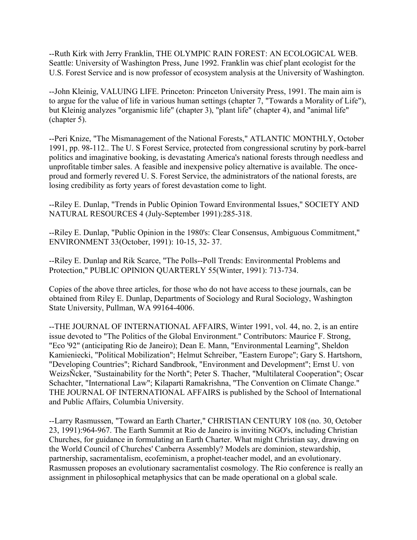--Ruth Kirk with Jerry Franklin, THE OLYMPIC RAIN FOREST: AN ECOLOGICAL WEB. Seattle: University of Washington Press, June 1992. Franklin was chief plant ecologist for the U.S. Forest Service and is now professor of ecosystem analysis at the University of Washington.

--John Kleinig, VALUING LIFE. Princeton: Princeton University Press, 1991. The main aim is to argue for the value of life in various human settings (chapter 7, "Towards a Morality of Life"), but Kleinig analyzes "organismic life" (chapter 3), "plant life" (chapter 4), and "animal life" (chapter 5).

--Peri Knize, "The Mismanagement of the National Forests," ATLANTIC MONTHLY, October 1991, pp. 98-112.. The U. S Forest Service, protected from congressional scrutiny by pork-barrel politics and imaginative booking, is devastating America's national forests through needless and unprofitable timber sales. A feasible and inexpensive policy alternative is available. The onceproud and formerly revered U. S. Forest Service, the administrators of the national forests, are losing credibility as forty years of forest devastation come to light.

--Riley E. Dunlap, "Trends in Public Opinion Toward Environmental Issues," SOCIETY AND NATURAL RESOURCES 4 (July-September 1991):285-318.

--Riley E. Dunlap, "Public Opinion in the 1980's: Clear Consensus, Ambiguous Commitment," ENVIRONMENT 33(October, 1991): 10-15, 32- 37.

--Riley E. Dunlap and Rik Scarce, "The Polls--Poll Trends: Environmental Problems and Protection," PUBLIC OPINION QUARTERLY 55(Winter, 1991): 713-734.

Copies of the above three articles, for those who do not have access to these journals, can be obtained from Riley E. Dunlap, Departments of Sociology and Rural Sociology, Washington State University, Pullman, WA 99164-4006.

--THE JOURNAL OF INTERNATIONAL AFFAIRS, Winter 1991, vol. 44, no. 2, is an entire issue devoted to "The Politics of the Global Environment." Contributors: Maurice F. Strong, "Eco '92" (anticipating Rio de Janeiro); Dean E. Mann, "Environmental Learning", Sheldon Kamieniecki, "Political Mobilization"; Helmut Schreiber, "Eastern Europe"; Gary S. Hartshorn, "Developing Countries"; Richard Sandbrook, "Environment and Development"; Ernst U. von WeizsÑcker, "Sustainability for the North"; Peter S. Thacher, "Multilateral Cooperation"; Oscar Schachter, "International Law"; Kilaparti Ramakrishna, "The Convention on Climate Change." THE JOURNAL OF INTERNATIONAL AFFAIRS is published by the School of International and Public Affairs, Columbia University.

--Larry Rasmussen, "Toward an Earth Charter," CHRISTIAN CENTURY 108 (no. 30, October 23, 1991):964-967. The Earth Summit at Rio de Janeiro is inviting NGO's, including Christian Churches, for guidance in formulating an Earth Charter. What might Christian say, drawing on the World Council of Churches' Canberra Assembly? Models are dominion, stewardship, partnership, sacramentalism, ecofeminism, a prophet-teacher model, and an evolutionary. Rasmussen proposes an evolutionary sacramentalist cosmology. The Rio conference is really an assignment in philosophical metaphysics that can be made operational on a global scale.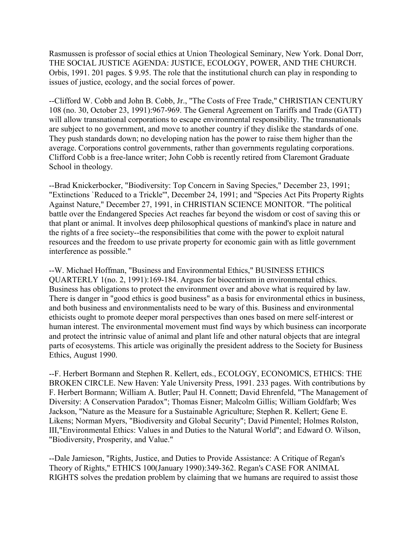Rasmussen is professor of social ethics at Union Theological Seminary, New York. Donal Dorr, THE SOCIAL JUSTICE AGENDA: JUSTICE, ECOLOGY, POWER, AND THE CHURCH. Orbis, 1991. 201 pages. \$ 9.95. The role that the institutional church can play in responding to issues of justice, ecology, and the social forces of power.

--Clifford W. Cobb and John B. Cobb, Jr., "The Costs of Free Trade," CHRISTIAN CENTURY 108 (no. 30, October 23, 1991):967-969. The General Agreement on Tariffs and Trade (GATT) will allow transnational corporations to escape environmental responsibility. The transnationals are subject to no government, and move to another country if they dislike the standards of one. They push standards down; no developing nation has the power to raise them higher than the average. Corporations control governments, rather than governments regulating corporations. Clifford Cobb is a free-lance writer; John Cobb is recently retired from Claremont Graduate School in theology.

--Brad Knickerbocker, "Biodiversity: Top Concern in Saving Species," December 23, 1991; "Extinctions `Reduced to a Trickle'", December 24, 1991; and "Species Act Pits Property Rights Against Nature," December 27, 1991, in CHRISTIAN SCIENCE MONITOR. "The political battle over the Endangered Species Act reaches far beyond the wisdom or cost of saving this or that plant or animal. It involves deep philosophical questions of mankind's place in nature and the rights of a free society--the responsibilities that come with the power to exploit natural resources and the freedom to use private property for economic gain with as little government interference as possible."

--W. Michael Hoffman, "Business and Environmental Ethics," BUSINESS ETHICS QUARTERLY 1(no. 2, 1991):169-184. Argues for biocentrism in environmental ethics. Business has obligations to protect the environment over and above what is required by law. There is danger in "good ethics is good business" as a basis for environmental ethics in business, and both business and environmentalists need to be wary of this. Business and environmental ethicists ought to promote deeper moral perspectives than ones based on mere self-interest or human interest. The environmental movement must find ways by which business can incorporate and protect the intrinsic value of animal and plant life and other natural objects that are integral parts of ecosystems. This article was originally the president address to the Society for Business Ethics, August 1990.

--F. Herbert Bormann and Stephen R. Kellert, eds., ECOLOGY, ECONOMICS, ETHICS: THE BROKEN CIRCLE. New Haven: Yale University Press, 1991. 233 pages. With contributions by F. Herbert Bormann; William A. Butler; Paul H. Connett; David Ehrenfeld, "The Management of Diversity: A Conservation Paradox"; Thomas Eisner; Malcolm Gillis; William Goldfarb; Wes Jackson, "Nature as the Measure for a Sustainable Agriculture; Stephen R. Kellert; Gene E. Likens; Norman Myers, "Biodiversity and Global Security"; David Pimentel; Holmes Rolston, III,"Environmental Ethics: Values in and Duties to the Natural World"; and Edward O. Wilson, "Biodiversity, Prosperity, and Value."

--Dale Jamieson, "Rights, Justice, and Duties to Provide Assistance: A Critique of Regan's Theory of Rights," ETHICS 100(January 1990):349-362. Regan's CASE FOR ANIMAL RIGHTS solves the predation problem by claiming that we humans are required to assist those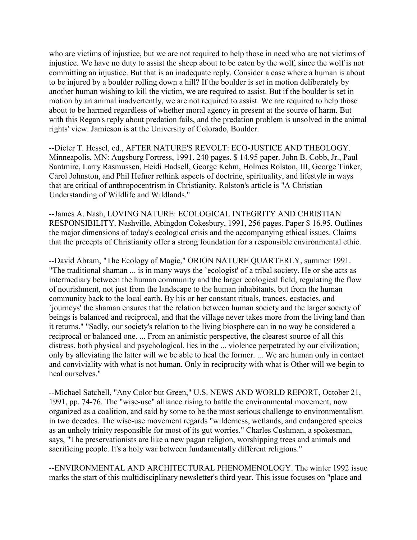who are victims of injustice, but we are not required to help those in need who are not victims of injustice. We have no duty to assist the sheep about to be eaten by the wolf, since the wolf is not committing an injustice. But that is an inadequate reply. Consider a case where a human is about to be injured by a boulder rolling down a hill? If the boulder is set in motion deliberately by another human wishing to kill the victim, we are required to assist. But if the boulder is set in motion by an animal inadvertently, we are not required to assist. We are required to help those about to be harmed regardless of whether moral agency in present at the source of harm. But with this Regan's reply about predation fails, and the predation problem is unsolved in the animal rights' view. Jamieson is at the University of Colorado, Boulder.

--Dieter T. Hessel, ed., AFTER NATURE'S REVOLT: ECO-JUSTICE AND THEOLOGY. Minneapolis, MN: Augsburg Fortress, 1991. 240 pages. \$ 14.95 paper. John B. Cobb, Jr., Paul Santmire, Larry Rasmussen, Heidi Hadsell, George Kehm, Holmes Rolston, III, George Tinker, Carol Johnston, and Phil Hefner rethink aspects of doctrine, spirituality, and lifestyle in ways that are critical of anthropocentrism in Christianity. Rolston's article is "A Christian Understanding of Wildlife and Wildlands."

--James A. Nash, LOVING NATURE: ECOLOGICAL INTEGRITY AND CHRISTIAN RESPONSIBILITY. Nashville, Abingdon Cokesbury, 1991, 256 pages. Paper \$ 16.95. Outlines the major dimensions of today's ecological crisis and the accompanying ethical issues. Claims that the precepts of Christianity offer a strong foundation for a responsible environmental ethic.

--David Abram, "The Ecology of Magic," ORION NATURE QUARTERLY, summer 1991. "The traditional shaman ... is in many ways the `ecologist' of a tribal society. He or she acts as intermediary between the human community and the larger ecological field, regulating the flow of nourishment, not just from the landscape to the human inhabitants, but from the human community back to the local earth. By his or her constant rituals, trances, ecstacies, and `journeys' the shaman ensures that the relation between human society and the larger society of beings is balanced and reciprocal, and that the village never takes more from the living land than it returns." "Sadly, our society's relation to the living biosphere can in no way be considered a reciprocal or balanced one. ... From an animistic perspective, the clearest source of all this distress, both physical and psychological, lies in the ... violence perpetrated by our civilization; only by alleviating the latter will we be able to heal the former. ... We are human only in contact and conviviality with what is not human. Only in reciprocity with what is Other will we begin to heal ourselves."

--Michael Satchell, "Any Color but Green," U.S. NEWS AND WORLD REPORT, October 21, 1991, pp. 74-76. The "wise-use" alliance rising to battle the environmental movement, now organized as a coalition, and said by some to be the most serious challenge to environmentalism in two decades. The wise-use movement regards "wilderness, wetlands, and endangered species as an unholy trinity responsible for most of its gut worries." Charles Cushman, a spokesman, says, "The preservationists are like a new pagan religion, worshipping trees and animals and sacrificing people. It's a holy war between fundamentally different religions."

--ENVIRONMENTAL AND ARCHITECTURAL PHENOMENOLOGY. The winter 1992 issue marks the start of this multidisciplinary newsletter's third year. This issue focuses on "place and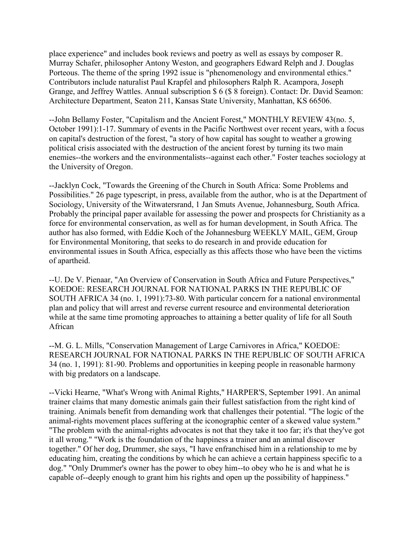place experience" and includes book reviews and poetry as well as essays by composer R. Murray Schafer, philosopher Antony Weston, and geographers Edward Relph and J. Douglas Porteous. The theme of the spring 1992 issue is "phenomenology and environmental ethics." Contributors include naturalist Paul Krapfel and philosophers Ralph R. Acampora, Joseph Grange, and Jeffrey Wattles. Annual subscription \$ 6 (\$ 8 foreign). Contact: Dr. David Seamon: Architecture Department, Seaton 211, Kansas State University, Manhattan, KS 66506.

--John Bellamy Foster, "Capitalism and the Ancient Forest," MONTHLY REVIEW 43(no. 5, October 1991):1-17. Summary of events in the Pacific Northwest over recent years, with a focus on capital's destruction of the forest, "a story of how capital has sought to weather a growing political crisis associated with the destruction of the ancient forest by turning its two main enemies--the workers and the environmentalists--against each other." Foster teaches sociology at the University of Oregon.

--Jacklyn Cock, "Towards the Greening of the Church in South Africa: Some Problems and Possibilities." 26 page typescript, in press, available from the author, who is at the Department of Sociology, University of the Witwatersrand, 1 Jan Smuts Avenue, Johannesburg, South Africa. Probably the principal paper available for assessing the power and prospects for Christianity as a force for environmental conservation, as well as for human development, in South Africa. The author has also formed, with Eddie Koch of the Johannesburg WEEKLY MAIL, GEM, Group for Environmental Monitoring, that seeks to do research in and provide education for environmental issues in South Africa, especially as this affects those who have been the victims of apartheid.

--U. De V. Pienaar, "An Overview of Conservation in South Africa and Future Perspectives," KOEDOE: RESEARCH JOURNAL FOR NATIONAL PARKS IN THE REPUBLIC OF SOUTH AFRICA 34 (no. 1, 1991):73-80. With particular concern for a national environmental plan and policy that will arrest and reverse current resource and environmental deterioration while at the same time promoting approaches to attaining a better quality of life for all South African

--M. G. L. Mills, "Conservation Management of Large Carnivores in Africa," KOEDOE: RESEARCH JOURNAL FOR NATIONAL PARKS IN THE REPUBLIC OF SOUTH AFRICA 34 (no. 1, 1991): 81-90. Problems and opportunities in keeping people in reasonable harmony with big predators on a landscape.

--Vicki Hearne, "What's Wrong with Animal Rights," HARPER'S, September 1991. An animal trainer claims that many domestic animals gain their fullest satisfaction from the right kind of training. Animals benefit from demanding work that challenges their potential. "The logic of the animal-rights movement places suffering at the iconographic center of a skewed value system." "The problem with the animal-rights advocates is not that they take it too far; it's that they've got it all wrong." "Work is the foundation of the happiness a trainer and an animal discover together." Of her dog, Drummer, she says, "I have enfranchised him in a relationship to me by educating him, creating the conditions by which he can achieve a certain happiness specific to a dog." "Only Drummer's owner has the power to obey him--to obey who he is and what he is capable of--deeply enough to grant him his rights and open up the possibility of happiness."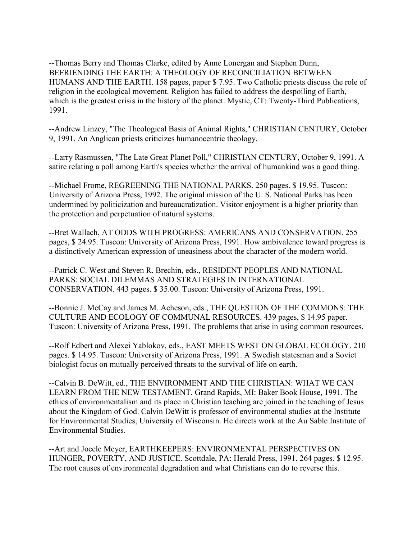--Thomas Berry and Thomas Clarke, edited by Anne Lonergan and Stephen Dunn, BEFRIENDING THE EARTH: A THEOLOGY OF RECONCILIATION BETWEEN HUMANS AND THE EARTH. 158 pages, paper \$ 7.95. Two Catholic priests discuss the role of religion in the ecological movement. Religion has failed to address the despoiling of Earth, which is the greatest crisis in the history of the planet. Mystic, CT: Twenty-Third Publications, 1991.

--Andrew Linzey, "The Theological Basis of Animal Rights," CHRISTIAN CENTURY, October 9, 1991. An Anglican priests criticizes humanocentric theology.

--Larry Rasmussen, "The Late Great Planet Poll," CHRISTIAN CENTURY, October 9, 1991. A satire relating a poll among Earth's species whether the arrival of humankind was a good thing.

--Michael Frome, REGREENING THE NATIONAL PARKS. 250 pages. \$ 19.95. Tuscon: University of Arizona Press, 1992. The original mission of the U. S. National Parks has been undermined by politicization and bureaucratization. Visitor enjoyment is a higher priority than the protection and perpetuation of natural systems.

--Bret Wallach, AT ODDS WITH PROGRESS: AMERICANS AND CONSERVATION. 255 pages, \$ 24.95. Tuscon: University of Arizona Press, 1991. How ambivalence toward progress is a distinctively American expression of uneasiness about the character of the modern world.

--Patrick C. West and Steven R. Brechin, eds., RESIDENT PEOPLES AND NATIONAL PARKS: SOCIAL DILEMMAS AND STRATEGIES IN INTERNATIONAL CONSERVATION. 443 pages. \$ 35.00. Tuscon: University of Arizona Press, 1991.

--Bonnie J. McCay and James M. Acheson, eds., THE QUESTION OF THE COMMONS: THE CULTURE AND ECOLOGY OF COMMUNAL RESOURCES. 439 pages, \$ 14.95 paper. Tuscon: University of Arizona Press, 1991. The problems that arise in using common resources.

--Rolf Edbert and Alexei Yablokov, eds., EAST MEETS WEST ON GLOBAL ECOLOGY. 210 pages. \$ 14.95. Tuscon: University of Arizona Press, 1991. A Swedish statesman and a Soviet biologist focus on mutually perceived threats to the survival of life on earth.

--Calvin B. DeWitt, ed., THE ENVIRONMENT AND THE CHRISTIAN: WHAT WE CAN LEARN FROM THE NEW TESTAMENT. Grand Rapids, MI: Baker Book House, 1991. The ethics of environmentalism and its place in Christian teaching are joined in the teaching of Jesus about the Kingdom of God. Calvin DeWitt is professor of environmental studies at the Institute for Environmental Studies, University of Wisconsin. He directs work at the Au Sable Institute of Environmental Studies.

--Art and Jocele Meyer, EARTHKEEPERS: ENVIRONMENTAL PERSPECTIVES ON HUNGER, POVERTY, AND JUSTICE. Scottdale, PA: Herald Press, 1991. 264 pages. \$ 12.95. The root causes of environmental degradation and what Christians can do to reverse this.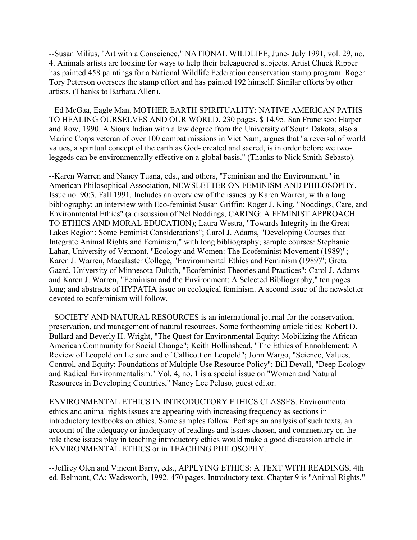--Susan Milius, "Art with a Conscience," NATIONAL WILDLIFE, June- July 1991, vol. 29, no. 4. Animals artists are looking for ways to help their beleaguered subjects. Artist Chuck Ripper has painted 458 paintings for a National Wildlife Federation conservation stamp program. Roger Tory Peterson oversees the stamp effort and has painted 192 himself. Similar efforts by other artists. (Thanks to Barbara Allen).

--Ed McGaa, Eagle Man, MOTHER EARTH SPIRITUALITY: NATIVE AMERICAN PATHS TO HEALING OURSELVES AND OUR WORLD. 230 pages. \$ 14.95. San Francisco: Harper and Row, 1990. A Sioux Indian with a law degree from the University of South Dakota, also a Marine Corps veteran of over 100 combat missions in Viet Nam, argues that "a reversal of world values, a spiritual concept of the earth as God- created and sacred, is in order before we twoleggeds can be environmentally effective on a global basis." (Thanks to Nick Smith-Sebasto).

--Karen Warren and Nancy Tuana, eds., and others, "Feminism and the Environment," in American Philosophical Association, NEWSLETTER ON FEMINISM AND PHILOSOPHY, Issue no. 90:3. Fall 1991. Includes an overview of the issues by Karen Warren, with a long bibliography; an interview with Eco-feminist Susan Griffin; Roger J. King, "Noddings, Care, and Environmental Ethics" (a discussion of Nel Noddings, CARING: A FEMINIST APPROACH TO ETHICS AND MORAL EDUCATION); Laura Westra, "Towards Integrity in the Great Lakes Region: Some Feminist Considerations"; Carol J. Adams, "Developing Courses that Integrate Animal Rights and Feminism," with long bibliography; sample courses: Stephanie Lahar, University of Vermont, "Ecology and Women: The Ecofeminist Movement (1989)"; Karen J. Warren, Macalaster College, "Environmental Ethics and Feminism (1989)"; Greta Gaard, University of Minnesota-Duluth, "Ecofeminist Theories and Practices"; Carol J. Adams and Karen J. Warren, "Feminism and the Environment: A Selected Bibliography," ten pages long; and abstracts of HYPATIA issue on ecological feminism. A second issue of the newsletter devoted to ecofeminism will follow.

--SOCIETY AND NATURAL RESOURCES is an international journal for the conservation, preservation, and management of natural resources. Some forthcoming article titles: Robert D. Bullard and Beverly H. Wright, "The Quest for Environmental Equity: Mobilizing the African-American Community for Social Change"; Keith Hollinshead, "The Ethics of Ennoblement: A Review of Leopold on Leisure and of Callicott on Leopold"; John Wargo, "Science, Values, Control, and Equity: Foundations of Multiple Use Resource Policy"; Bill Devall, "Deep Ecology and Radical Environmentalism." Vol. 4, no. 1 is a special issue on "Women and Natural Resources in Developing Countries," Nancy Lee Peluso, guest editor.

ENVIRONMENTAL ETHICS IN INTRODUCTORY ETHICS CLASSES. Environmental ethics and animal rights issues are appearing with increasing frequency as sections in introductory textbooks on ethics. Some samples follow. Perhaps an analysis of such texts, an account of the adequacy or inadequacy of readings and issues chosen, and commentary on the role these issues play in teaching introductory ethics would make a good discussion article in ENVIRONMENTAL ETHICS or in TEACHING PHILOSOPHY.

--Jeffrey Olen and Vincent Barry, eds., APPLYING ETHICS: A TEXT WITH READINGS, 4th ed. Belmont, CA: Wadsworth, 1992. 470 pages. Introductory text. Chapter 9 is "Animal Rights."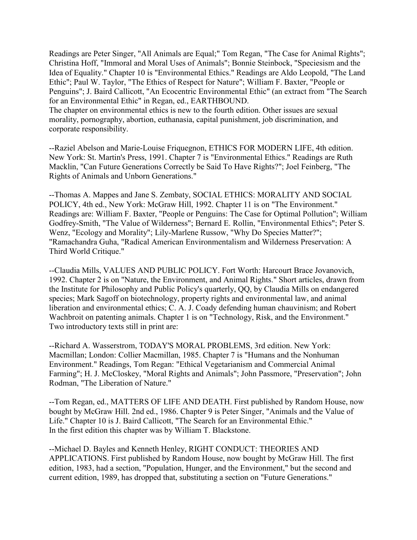Readings are Peter Singer, "All Animals are Equal;" Tom Regan, "The Case for Animal Rights"; Christina Hoff, "Immoral and Moral Uses of Animals"; Bonnie Steinbock, "Speciesism and the Idea of Equality." Chapter 10 is "Environmental Ethics." Readings are Aldo Leopold, "The Land Ethic"; Paul W. Taylor, "The Ethics of Respect for Nature"; William F. Baxter, "People or Penguins"; J. Baird Callicott, "An Ecocentric Environmental Ethic" (an extract from "The Search for an Environmental Ethic" in Regan, ed., EARTHBOUND.

The chapter on environmental ethics is new to the fourth edition. Other issues are sexual morality, pornography, abortion, euthanasia, capital punishment, job discrimination, and corporate responsibility.

--Raziel Abelson and Marie-Louise Friquegnon, ETHICS FOR MODERN LIFE, 4th edition. New York: St. Martin's Press, 1991. Chapter 7 is "Environmental Ethics." Readings are Ruth Macklin, "Can Future Generations Correctly be Said To Have Rights?"; Joel Feinberg, "The Rights of Animals and Unborn Generations."

--Thomas A. Mappes and Jane S. Zembaty, SOCIAL ETHICS: MORALITY AND SOCIAL POLICY, 4th ed., New York: McGraw Hill, 1992. Chapter 11 is on "The Environment." Readings are: William F. Baxter, "People or Penguins: The Case for Optimal Pollution"; William Godfrey-Smith, "The Value of Wilderness"; Bernard E. Rollin, "Environmental Ethics"; Peter S. Wenz, "Ecology and Morality"; Lily-Marlene Russow, "Why Do Species Matter?"; "Ramachandra Guha, "Radical American Environmentalism and Wilderness Preservation: A Third World Critique."

--Claudia Mills, VALUES AND PUBLIC POLICY. Fort Worth: Harcourt Brace Jovanovich, 1992. Chapter 2 is on "Nature, the Environment, and Animal Rights." Short articles, drawn from the Institute for Philosophy and Public Policy's quarterly, QQ, by Claudia Mills on endangered species; Mark Sagoff on biotechnology, property rights and environmental law, and animal liberation and environmental ethics; C. A. J. Coady defending human chauvinism; and Robert Wachbroit on patenting animals. Chapter 1 is on "Technology, Risk, and the Environment." Two introductory texts still in print are:

--Richard A. Wasserstrom, TODAY'S MORAL PROBLEMS, 3rd edition. New York: Macmillan; London: Collier Macmillan, 1985. Chapter 7 is "Humans and the Nonhuman Environment." Readings, Tom Regan: "Ethical Vegetarianism and Commercial Animal Farming"; H. J. McCloskey, "Moral Rights and Animals"; John Passmore, "Preservation"; John Rodman, "The Liberation of Nature."

--Tom Regan, ed., MATTERS OF LIFE AND DEATH. First published by Random House, now bought by McGraw Hill. 2nd ed., 1986. Chapter 9 is Peter Singer, "Animals and the Value of Life." Chapter 10 is J. Baird Callicott, "The Search for an Environmental Ethic." In the first edition this chapter was by William T. Blackstone.

--Michael D. Bayles and Kenneth Henley, RIGHT CONDUCT: THEORIES AND APPLICATIONS. First published by Random House, now bought by McGraw Hill. The first edition, 1983, had a section, "Population, Hunger, and the Environment," but the second and current edition, 1989, has dropped that, substituting a section on "Future Generations."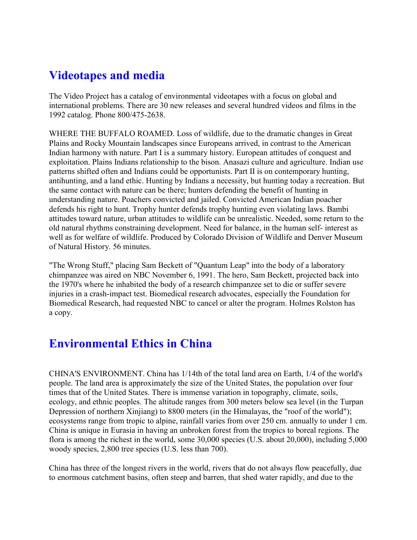# **Videotapes and media**

The Video Project has a catalog of environmental videotapes with a focus on global and international problems. There are 30 new releases and several hundred videos and films in the 1992 catalog. Phone 800/475-2638.

WHERE THE BUFFALO ROAMED. Loss of wildlife, due to the dramatic changes in Great Plains and Rocky Mountain landscapes since Europeans arrived, in contrast to the American Indian harmony with nature. Part I is a summary history. European attitudes of conquest and exploitation. Plains Indians relationship to the bison. Anasazi culture and agriculture. Indian use patterns shifted often and Indians could be opportunists. Part II is on contemporary hunting, antihunting, and a land ethic. Hunting by Indians a necessity, but hunting today a recreation. But the same contact with nature can be there; hunters defending the benefit of hunting in understanding nature. Poachers convicted and jailed. Convicted American Indian poacher defends his right to hunt. Trophy hunter defends trophy hunting even violating laws. Bambi attitudes toward nature, urban attitudes to wildlife can be unrealistic. Needed, some return to the old natural rhythms constraining development. Need for balance, in the human self- interest as well as for welfare of wildlife. Produced by Colorado Division of Wildlife and Denver Museum of Natural History. 56 minutes.

"The Wrong Stuff," placing Sam Beckett of "Quantum Leap" into the body of a laboratory chimpanzee was aired on NBC November 6, 1991. The hero, Sam Beckett, projected back into the 1970's where he inhabited the body of a research chimpanzee set to die or suffer severe injuries in a crash-impact test. Biomedical research advocates, especially the Foundation for Biomedical Research, had requested NBC to cancel or alter the program. Holmes Rolston has a copy.

# **Environmental Ethics in China**

CHINA'S ENVIRONMENT. China has 1/14th of the total land area on Earth, 1/4 of the world's people. The land area is approximately the size of the United States, the population over four times that of the United States. There is immense variation in topography, climate, soils, ecology, and ethnic peoples. The altitude ranges from 300 meters below sea level (in the Turpan Depression of northern Xinjiang) to 8800 meters (in the Himalayas, the "roof of the world"); ecosystems range from tropic to alpine, rainfall varies from over 250 cm. annually to under 1 cm. China is unique in Eurasia in having an unbroken forest from the tropics to boreal regions. The flora is among the richest in the world, some 30,000 species (U.S. about 20,000), including 5,000 woody species, 2,800 tree species (U.S. less than 700).

China has three of the longest rivers in the world, rivers that do not always flow peacefully, due to enormous catchment basins, often steep and barren, that shed water rapidly, and due to the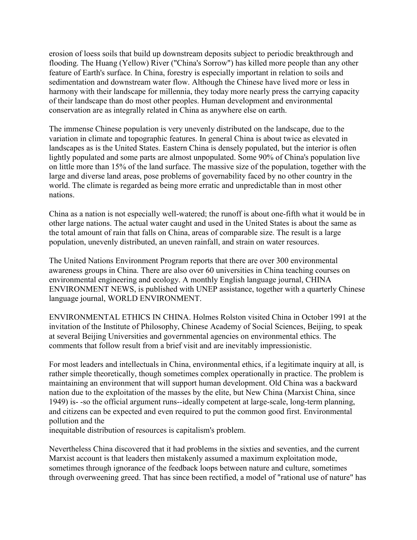erosion of loess soils that build up downstream deposits subject to periodic breakthrough and flooding. The Huang (Yellow) River ("China's Sorrow") has killed more people than any other feature of Earth's surface. In China, forestry is especially important in relation to soils and sedimentation and downstream water flow. Although the Chinese have lived more or less in harmony with their landscape for millennia, they today more nearly press the carrying capacity of their landscape than do most other peoples. Human development and environmental conservation are as integrally related in China as anywhere else on earth.

The immense Chinese population is very unevenly distributed on the landscape, due to the variation in climate and topographic features. In general China is about twice as elevated in landscapes as is the United States. Eastern China is densely populated, but the interior is often lightly populated and some parts are almost unpopulated. Some 90% of China's population live on little more than 15% of the land surface. The massive size of the population, together with the large and diverse land areas, pose problems of governability faced by no other country in the world. The climate is regarded as being more erratic and unpredictable than in most other nations.

China as a nation is not especially well-watered; the runoff is about one-fifth what it would be in other large nations. The actual water caught and used in the United States is about the same as the total amount of rain that falls on China, areas of comparable size. The result is a large population, unevenly distributed, an uneven rainfall, and strain on water resources.

The United Nations Environment Program reports that there are over 300 environmental awareness groups in China. There are also over 60 universities in China teaching courses on environmental engineering and ecology. A monthly English language journal, CHINA ENVIRONMENT NEWS, is published with UNEP assistance, together with a quarterly Chinese language journal, WORLD ENVIRONMENT.

ENVIRONMENTAL ETHICS IN CHINA. Holmes Rolston visited China in October 1991 at the invitation of the Institute of Philosophy, Chinese Academy of Social Sciences, Beijing, to speak at several Beijing Universities and governmental agencies on environmental ethics. The comments that follow result from a brief visit and are inevitably impressionistic.

For most leaders and intellectuals in China, environmental ethics, if a legitimate inquiry at all, is rather simple theoretically, though sometimes complex operationally in practice. The problem is maintaining an environment that will support human development. Old China was a backward nation due to the exploitation of the masses by the elite, but New China (Marxist China, since 1949) is- -so the official argument runs--ideally competent at large-scale, long-term planning, and citizens can be expected and even required to put the common good first. Environmental pollution and the

inequitable distribution of resources is capitalism's problem.

Nevertheless China discovered that it had problems in the sixties and seventies, and the current Marxist account is that leaders then mistakenly assumed a maximum exploitation mode, sometimes through ignorance of the feedback loops between nature and culture, sometimes through overweening greed. That has since been rectified, a model of "rational use of nature" has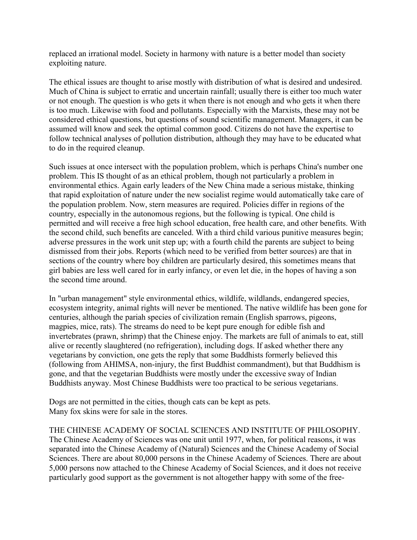replaced an irrational model. Society in harmony with nature is a better model than society exploiting nature.

The ethical issues are thought to arise mostly with distribution of what is desired and undesired. Much of China is subject to erratic and uncertain rainfall; usually there is either too much water or not enough. The question is who gets it when there is not enough and who gets it when there is too much. Likewise with food and pollutants. Especially with the Marxists, these may not be considered ethical questions, but questions of sound scientific management. Managers, it can be assumed will know and seek the optimal common good. Citizens do not have the expertise to follow technical analyses of pollution distribution, although they may have to be educated what to do in the required cleanup.

Such issues at once intersect with the population problem, which is perhaps China's number one problem. This IS thought of as an ethical problem, though not particularly a problem in environmental ethics. Again early leaders of the New China made a serious mistake, thinking that rapid exploitation of nature under the new socialist regime would automatically take care of the population problem. Now, stern measures are required. Policies differ in regions of the country, especially in the autonomous regions, but the following is typical. One child is permitted and will receive a free high school education, free health care, and other benefits. With the second child, such benefits are canceled. With a third child various punitive measures begin; adverse pressures in the work unit step up; with a fourth child the parents are subject to being dismissed from their jobs. Reports (which need to be verified from better sources) are that in sections of the country where boy children are particularly desired, this sometimes means that girl babies are less well cared for in early infancy, or even let die, in the hopes of having a son the second time around.

In "urban management" style environmental ethics, wildlife, wildlands, endangered species, ecosystem integrity, animal rights will never be mentioned. The native wildlife has been gone for centuries, although the pariah species of civilization remain (English sparrows, pigeons, magpies, mice, rats). The streams do need to be kept pure enough for edible fish and invertebrates (prawn, shrimp) that the Chinese enjoy. The markets are full of animals to eat, still alive or recently slaughtered (no refrigeration), including dogs. If asked whether there any vegetarians by conviction, one gets the reply that some Buddhists formerly believed this (following from AHIMSA, non-injury, the first Buddhist commandment), but that Buddhism is gone, and that the vegetarian Buddhists were mostly under the excessive sway of Indian Buddhists anyway. Most Chinese Buddhists were too practical to be serious vegetarians.

Dogs are not permitted in the cities, though cats can be kept as pets. Many fox skins were for sale in the stores.

THE CHINESE ACADEMY OF SOCIAL SCIENCES AND INSTITUTE OF PHILOSOPHY. The Chinese Academy of Sciences was one unit until 1977, when, for political reasons, it was separated into the Chinese Academy of (Natural) Sciences and the Chinese Academy of Social Sciences. There are about 80,000 persons in the Chinese Academy of Sciences. There are about 5,000 persons now attached to the Chinese Academy of Social Sciences, and it does not receive particularly good support as the government is not altogether happy with some of the free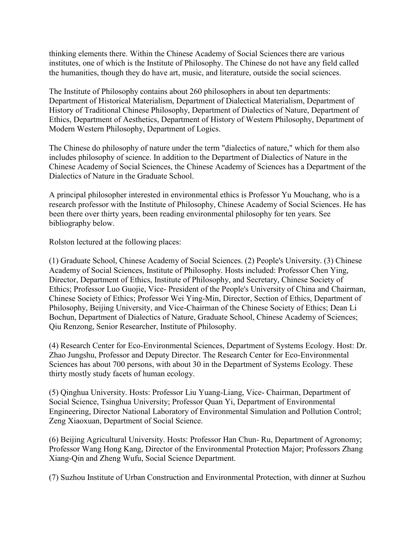thinking elements there. Within the Chinese Academy of Social Sciences there are various institutes, one of which is the Institute of Philosophy. The Chinese do not have any field called the humanities, though they do have art, music, and literature, outside the social sciences.

The Institute of Philosophy contains about 260 philosophers in about ten departments: Department of Historical Materialism, Department of Dialectical Materialism, Department of History of Traditional Chinese Philosophy, Department of Dialectics of Nature, Department of Ethics, Department of Aesthetics, Department of History of Western Philosophy, Department of Modern Western Philosophy, Department of Logics.

The Chinese do philosophy of nature under the term "dialectics of nature," which for them also includes philosophy of science. In addition to the Department of Dialectics of Nature in the Chinese Academy of Social Sciences, the Chinese Academy of Sciences has a Department of the Dialectics of Nature in the Graduate School.

A principal philosopher interested in environmental ethics is Professor Yu Mouchang, who is a research professor with the Institute of Philosophy, Chinese Academy of Social Sciences. He has been there over thirty years, been reading environmental philosophy for ten years. See bibliography below.

Rolston lectured at the following places:

(1) Graduate School, Chinese Academy of Social Sciences. (2) People's University. (3) Chinese Academy of Social Sciences, Institute of Philosophy. Hosts included: Professor Chen Ying, Director, Department of Ethics, Institute of Philosophy, and Secretary, Chinese Society of Ethics; Professor Luo Guojie, Vice- President of the People's University of China and Chairman, Chinese Society of Ethics; Professor Wei Ying-Min, Director, Section of Ethics, Department of Philosophy, Beijing University, and Vice-Chairman of the Chinese Society of Ethics; Dean Li Bochun, Department of Dialectics of Nature, Graduate School, Chinese Academy of Sciences; Qiu Renzong, Senior Researcher, Institute of Philosophy.

(4) Research Center for Eco-Environmental Sciences, Department of Systems Ecology. Host: Dr. Zhao Jungshu, Professor and Deputy Director. The Research Center for Eco-Environmental Sciences has about 700 persons, with about 30 in the Department of Systems Ecology. These thirty mostly study facets of human ecology.

(5) Qinghua University. Hosts: Professor Liu Yuang-Liang, Vice- Chairman, Department of Social Science, Tsinghua University; Professor Quan Yi, Department of Environmental Engineering, Director National Laboratory of Environmental Simulation and Pollution Control; Zeng Xiaoxuan, Department of Social Science.

(6) Beijing Agricultural University. Hosts: Professor Han Chun- Ru, Department of Agronomy; Professor Wang Hong Kang, Director of the Environmental Protection Major; Professors Zhang Xiang-Qin and Zheng Wufu, Social Science Department.

(7) Suzhou Institute of Urban Construction and Environmental Protection, with dinner at Suzhou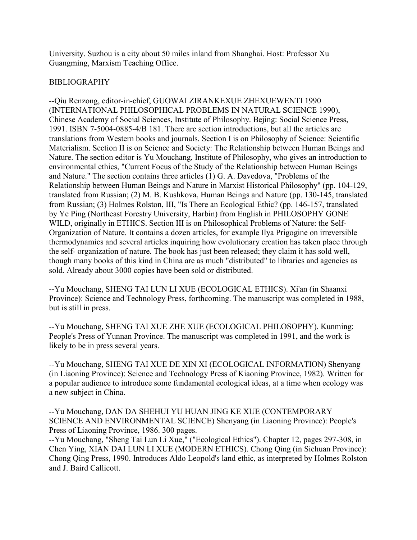University. Suzhou is a city about 50 miles inland from Shanghai. Host: Professor Xu Guangming, Marxism Teaching Office.

#### BIBLIOGRAPHY

--Qiu Renzong, editor-in-chief, GUOWAI ZIRANKEXUE ZHEXUEWENTI 1990 (INTERNATIONAL PHILOSOPHICAL PROBLEMS IN NATURAL SCIENCE 1990), Chinese Academy of Social Sciences, Institute of Philosophy. Bejing: Social Science Press, 1991. ISBN 7-5004-0885-4/B 181. There are section introductions, but all the articles are translations from Western books and journals. Section I is on Philosophy of Science: Scientific Materialism. Section II is on Science and Society: The Relationship between Human Beings and Nature. The section editor is Yu Mouchang, Institute of Philosophy, who gives an introduction to environmental ethics, "Current Focus of the Study of the Relationship between Human Beings and Nature." The section contains three articles (1) G. A. Davedova, "Problems of the Relationship between Human Beings and Nature in Marxist Historical Philosophy" (pp. 104-129, translated from Russian; (2) M. B. Kushkova, Human Beings and Nature (pp. 130-145, translated from Russian; (3) Holmes Rolston, III, "Is There an Ecological Ethic? (pp. 146-157, translated by Ye Ping (Northeast Forestry University, Harbin) from English in PHILOSOPHY GONE WILD, originally in ETHICS. Section III is on Philosophical Problems of Nature: the Self-Organization of Nature. It contains a dozen articles, for example Ilya Prigogine on irreversible thermodynamics and several articles inquiring how evolutionary creation has taken place through the self- organization of nature. The book has just been released; they claim it has sold well, though many books of this kind in China are as much "distributed" to libraries and agencies as sold. Already about 3000 copies have been sold or distributed.

--Yu Mouchang, SHENG TAI LUN LI XUE (ECOLOGICAL ETHICS). Xi'an (in Shaanxi Province): Science and Technology Press, forthcoming. The manuscript was completed in 1988, but is still in press.

--Yu Mouchang, SHENG TAI XUE ZHE XUE (ECOLOGICAL PHILOSOPHY). Kunming: People's Press of Yunnan Province. The manuscript was completed in 1991, and the work is likely to be in press several years.

--Yu Mouchang, SHENG TAI XUE DE XIN XI (ECOLOGICAL INFORMATION) Shenyang (in Liaoning Province): Science and Technology Press of Kiaoning Province, 1982). Written for a popular audience to introduce some fundamental ecological ideas, at a time when ecology was a new subject in China.

--Yu Mouchang, DAN DA SHEHUI YU HUAN JING KE XUE (CONTEMPORARY SCIENCE AND ENVIRONMENTAL SCIENCE) Shenyang (in Liaoning Province): People's Press of Liaoning Province, 1986. 300 pages.

--Yu Mouchang, "Sheng Tai Lun Li Xue," ("Ecological Ethics"). Chapter 12, pages 297-308, in Chen Ying, XIAN DAI LUN LI XUE (MODERN ETHICS). Chong Qing (in Sichuan Province): Chong Qing Press, 1990. Introduces Aldo Leopold's land ethic, as interpreted by Holmes Rolston and J. Baird Callicott.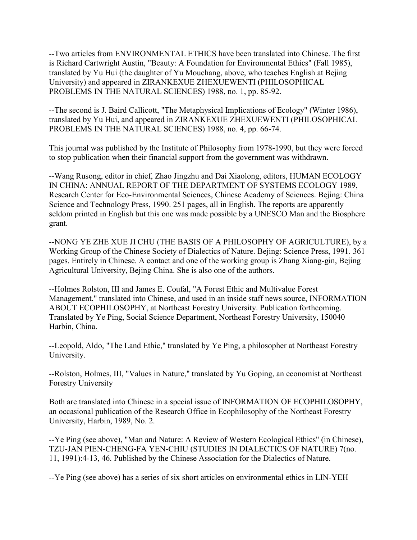--Two articles from ENVIRONMENTAL ETHICS have been translated into Chinese. The first is Richard Cartwright Austin, "Beauty: A Foundation for Environmental Ethics" (Fall 1985), translated by Yu Hui (the daughter of Yu Mouchang, above, who teaches English at Bejing University) and appeared in ZIRANKEXUE ZHEXUEWENTI (PHILOSOPHICAL PROBLEMS IN THE NATURAL SCIENCES) 1988, no. 1, pp. 85-92.

--The second is J. Baird Callicott, "The Metaphysical Implications of Ecology" (Winter 1986), translated by Yu Hui, and appeared in ZIRANKEXUE ZHEXUEWENTI (PHILOSOPHICAL PROBLEMS IN THE NATURAL SCIENCES) 1988, no. 4, pp. 66-74.

This journal was published by the Institute of Philosophy from 1978-1990, but they were forced to stop publication when their financial support from the government was withdrawn.

--Wang Rusong, editor in chief, Zhao Jingzhu and Dai Xiaolong, editors, HUMAN ECOLOGY IN CHINA: ANNUAL REPORT OF THE DEPARTMENT OF SYSTEMS ECOLOGY 1989, Research Center for Eco-Environmental Sciences, Chinese Academy of Sciences. Bejing: China Science and Technology Press, 1990. 251 pages, all in English. The reports are apparently seldom printed in English but this one was made possible by a UNESCO Man and the Biosphere grant.

--NONG YE ZHE XUE JI CHU (THE BASIS OF A PHILOSOPHY OF AGRICULTURE), by a Working Group of the Chinese Society of Dialectics of Nature. Bejing: Science Press, 1991. 361 pages. Entirely in Chinese. A contact and one of the working group is Zhang Xiang-gin, Bejing Agricultural University, Bejing China. She is also one of the authors.

--Holmes Rolston, III and James E. Coufal, "A Forest Ethic and Multivalue Forest Management," translated into Chinese, and used in an inside staff news source, INFORMATION ABOUT ECOPHILOSOPHY, at Northeast Forestry University. Publication forthcoming. Translated by Ye Ping, Social Science Department, Northeast Forestry University, 150040 Harbin, China.

--Leopold, Aldo, "The Land Ethic," translated by Ye Ping, a philosopher at Northeast Forestry University.

--Rolston, Holmes, III, "Values in Nature," translated by Yu Goping, an economist at Northeast Forestry University

Both are translated into Chinese in a special issue of INFORMATION OF ECOPHILOSOPHY, an occasional publication of the Research Office in Ecophilosophy of the Northeast Forestry University, Harbin, 1989, No. 2.

--Ye Ping (see above), "Man and Nature: A Review of Western Ecological Ethics" (in Chinese), TZU-JAN PIEN-CHENG-FA YEN-CHIU (STUDIES IN DIALECTICS OF NATURE) 7(no. 11, 1991):4-13, 46. Published by the Chinese Association for the Dialectics of Nature.

--Ye Ping (see above) has a series of six short articles on environmental ethics in LIN-YEH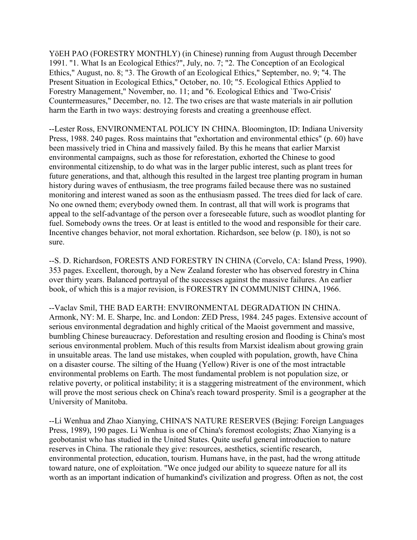YöEH PAO (FORESTRY MONTHLY) (in Chinese) running from August through December 1991. "1. What Is an Ecological Ethics?", July, no. 7; "2. The Conception of an Ecological Ethics," August, no. 8; "3. The Growth of an Ecological Ethics," September, no. 9; "4. The Present Situation in Ecological Ethics," October, no. 10; "5. Ecological Ethics Applied to Forestry Management," November, no. 11; and "6. Ecological Ethics and `Two-Crisis' Countermeasures," December, no. 12. The two crises are that waste materials in air pollution harm the Earth in two ways: destroying forests and creating a greenhouse effect.

--Lester Ross, ENVIRONMENTAL POLICY IN CHINA. Bloomington, ID: Indiana University Press, 1988. 240 pages. Ross maintains that "exhortation and environmental ethics" (p. 60) have been massively tried in China and massively failed. By this he means that earlier Marxist environmental campaigns, such as those for reforestation, exhorted the Chinese to good environmental citizenship, to do what was in the larger public interest, such as plant trees for future generations, and that, although this resulted in the largest tree planting program in human history during waves of enthusiasm, the tree programs failed because there was no sustained monitoring and interest waned as soon as the enthusiasm passed. The trees died for lack of care. No one owned them; everybody owned them. In contrast, all that will work is programs that appeal to the self-advantage of the person over a foreseeable future, such as woodlot planting for fuel. Somebody owns the trees. Or at least is entitled to the wood and responsible for their care. Incentive changes behavior, not moral exhortation. Richardson, see below (p. 180), is not so sure.

--S. D. Richardson, FORESTS AND FORESTRY IN CHINA (Corvelo, CA: Island Press, 1990). 353 pages. Excellent, thorough, by a New Zealand forester who has observed forestry in China over thirty years. Balanced portrayal of the successes against the massive failures. An earlier book, of which this is a major revision, is FORESTRY IN COMMUNIST CHINA, 1966.

--Vaclav Smil, THE BAD EARTH: ENVIRONMENTAL DEGRADATION IN CHINA. Armonk, NY: M. E. Sharpe, Inc. and London: ZED Press, 1984. 245 pages. Extensive account of serious environmental degradation and highly critical of the Maoist government and massive, bumbling Chinese bureaucracy. Deforestation and resulting erosion and flooding is China's most serious environmental problem. Much of this results from Marxist idealism about growing grain in unsuitable areas. The land use mistakes, when coupled with population, growth, have China on a disaster course. The silting of the Huang (Yellow) River is one of the most intractable environmental problems on Earth. The most fundamental problem is not population size, or relative poverty, or political instability; it is a staggering mistreatment of the environment, which will prove the most serious check on China's reach toward prosperity. Smil is a geographer at the University of Manitoba.

--Li Wenhua and Zhao Xianying, CHINA'S NATURE RESERVES (Bejing: Foreign Languages Press, 1989), 190 pages. Li Wenhua is one of China's foremost ecologists; Zhao Xianying is a geobotanist who has studied in the United States. Quite useful general introduction to nature reserves in China. The rationale they give: resources, aesthetics, scientific research, environmental protection, education, tourism. Humans have, in the past, had the wrong attitude toward nature, one of exploitation. "We once judged our ability to squeeze nature for all its worth as an important indication of humankind's civilization and progress. Often as not, the cost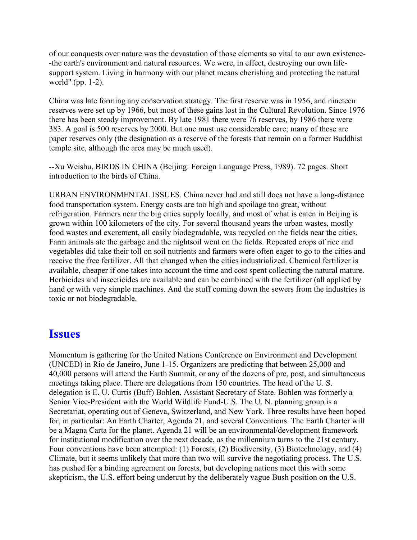of our conquests over nature was the devastation of those elements so vital to our own existence- -the earth's environment and natural resources. We were, in effect, destroying our own lifesupport system. Living in harmony with our planet means cherishing and protecting the natural world" (pp. 1-2).

China was late forming any conservation strategy. The first reserve was in 1956, and nineteen reserves were set up by 1966, but most of these gains lost in the Cultural Revolution. Since 1976 there has been steady improvement. By late 1981 there were 76 reserves, by 1986 there were 383. A goal is 500 reserves by 2000. But one must use considerable care; many of these are paper reserves only (the designation as a reserve of the forests that remain on a former Buddhist temple site, although the area may be much used).

--Xu Weishu, BIRDS IN CHINA (Beijing: Foreign Language Press, 1989). 72 pages. Short introduction to the birds of China.

URBAN ENVIRONMENTAL ISSUES. China never had and still does not have a long-distance food transportation system. Energy costs are too high and spoilage too great, without refrigeration. Farmers near the big cities supply locally, and most of what is eaten in Beijing is grown within 100 kilometers of the city. For several thousand years the urban wastes, mostly food wastes and excrement, all easily biodegradable, was recycled on the fields near the cities. Farm animals ate the garbage and the nightsoil went on the fields. Repeated crops of rice and vegetables did take their toll on soil nutrients and farmers were often eager to go to the cities and receive the free fertilizer. All that changed when the cities industrialized. Chemical fertilizer is available, cheaper if one takes into account the time and cost spent collecting the natural mature. Herbicides and insecticides are available and can be combined with the fertilizer (all applied by hand or with very simple machines. And the stuff coming down the sewers from the industries is toxic or not biodegradable.

## **Issues**

Momentum is gathering for the United Nations Conference on Environment and Development (UNCED) in Rio de Janeiro, June 1-15. Organizers are predicting that between 25,000 and 40,000 persons will attend the Earth Summit, or any of the dozens of pre, post, and simultaneous meetings taking place. There are delegations from 150 countries. The head of the U. S. delegation is E. U. Curtis (Buff) Bohlen, Assistant Secretary of State. Bohlen was formerly a Senior Vice-President with the World Wildlife Fund-U.S. The U. N. planning group is a Secretariat, operating out of Geneva, Switzerland, and New York. Three results have been hoped for, in particular: An Earth Charter, Agenda 21, and several Conventions. The Earth Charter will be a Magna Carta for the planet. Agenda 21 will be an environmental/development framework for institutional modification over the next decade, as the millennium turns to the 21st century. Four conventions have been attempted: (1) Forests, (2) Biodiversity, (3) Biotechnology, and (4) Climate, but it seems unlikely that more than two will survive the negotiating process. The U.S. has pushed for a binding agreement on forests, but developing nations meet this with some skepticism, the U.S. effort being undercut by the deliberately vague Bush position on the U.S.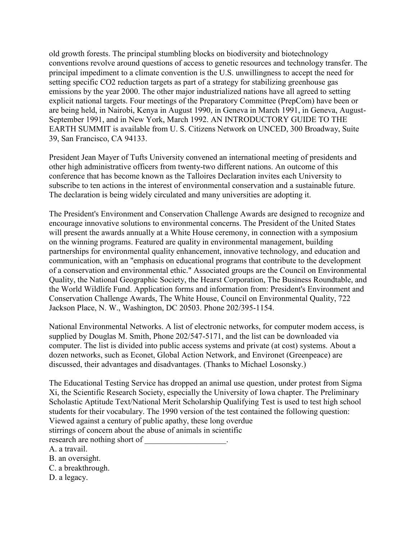old growth forests. The principal stumbling blocks on biodiversity and biotechnology conventions revolve around questions of access to genetic resources and technology transfer. The principal impediment to a climate convention is the U.S. unwillingness to accept the need for setting specific CO2 reduction targets as part of a strategy for stabilizing greenhouse gas emissions by the year 2000. The other major industrialized nations have all agreed to setting explicit national targets. Four meetings of the Preparatory Committee (PrepCom) have been or are being held, in Nairobi, Kenya in August 1990, in Geneva in March 1991, in Geneva, August-September 1991, and in New York, March 1992. AN INTRODUCTORY GUIDE TO THE EARTH SUMMIT is available from U. S. Citizens Network on UNCED, 300 Broadway, Suite 39, San Francisco, CA 94133.

President Jean Mayer of Tufts University convened an international meeting of presidents and other high administrative officers from twenty-two different nations. An outcome of this conference that has become known as the Talloires Declaration invites each University to subscribe to ten actions in the interest of environmental conservation and a sustainable future. The declaration is being widely circulated and many universities are adopting it.

The President's Environment and Conservation Challenge Awards are designed to recognize and encourage innovative solutions to environmental concerns. The President of the United States will present the awards annually at a White House ceremony, in connection with a symposium on the winning programs. Featured are quality in environmental management, building partnerships for environmental quality enhancement, innovative technology, and education and communication, with an "emphasis on educational programs that contribute to the development of a conservation and environmental ethic." Associated groups are the Council on Environmental Quality, the National Geographic Society, the Hearst Corporation, The Business Roundtable, and the World Wildlife Fund. Application forms and information from: President's Environment and Conservation Challenge Awards, The White House, Council on Environmental Quality, 722 Jackson Place, N. W., Washington, DC 20503. Phone 202/395-1154.

National Environmental Networks. A list of electronic networks, for computer modem access, is supplied by Douglas M. Smith, Phone 202/547-5171, and the list can be downloaded via computer. The list is divided into public access systems and private (at cost) systems. About a dozen networks, such as Econet, Global Action Network, and Environet (Greenpeace) are discussed, their advantages and disadvantages. (Thanks to Michael Losonsky.)

The Educational Testing Service has dropped an animal use question, under protest from Sigma Xi, the Scientific Research Society, especially the University of Iowa chapter. The Preliminary Scholastic Aptitude Text/National Merit Scholarship Qualifying Test is used to test high school students for their vocabulary. The 1990 version of the test contained the following question: Viewed against a century of public apathy, these long overdue stirrings of concern about the abuse of animals in scientific

research are nothing short of

A. a travail.

B. an oversight.

C. a breakthrough.

D. a legacy.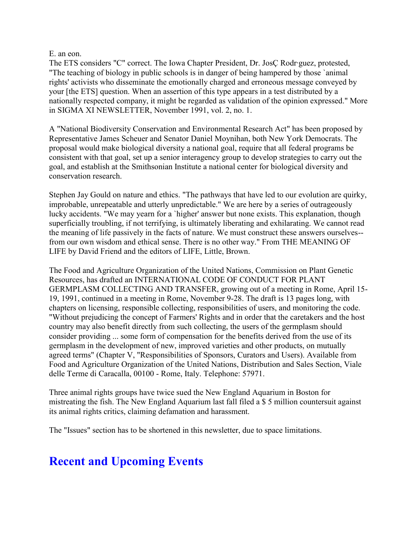E. an eon.

The ETS considers "C" correct. The Iowa Chapter President, Dr. JosÇ Rodr·guez, protested, "The teaching of biology in public schools is in danger of being hampered by those `animal rights' activists who disseminate the emotionally charged and erroneous message conveyed by your [the ETS] question. When an assertion of this type appears in a test distributed by a nationally respected company, it might be regarded as validation of the opinion expressed." More in SIGMA XI NEWSLETTER, November 1991, vol. 2, no. 1.

A "National Biodiversity Conservation and Environmental Research Act" has been proposed by Representative James Scheuer and Senator Daniel Moynihan, both New York Democrats. The proposal would make biological diversity a national goal, require that all federal programs be consistent with that goal, set up a senior interagency group to develop strategies to carry out the goal, and establish at the Smithsonian Institute a national center for biological diversity and conservation research.

Stephen Jay Gould on nature and ethics. "The pathways that have led to our evolution are quirky, improbable, unrepeatable and utterly unpredictable." We are here by a series of outrageously lucky accidents. "We may yearn for a `higher' answer but none exists. This explanation, though superficially troubling, if not terrifying, is ultimately liberating and exhilarating. We cannot read the meaning of life passively in the facts of nature. We must construct these answers ourselves- from our own wisdom and ethical sense. There is no other way." From THE MEANING OF LIFE by David Friend and the editors of LIFE, Little, Brown.

The Food and Agriculture Organization of the United Nations, Commission on Plant Genetic Resources, has drafted an INTERNATIONAL CODE OF CONDUCT FOR PLANT GERMPLASM COLLECTING AND TRANSFER, growing out of a meeting in Rome, April 15- 19, 1991, continued in a meeting in Rome, November 9-28. The draft is 13 pages long, with chapters on licensing, responsible collecting, responsibilities of users, and monitoring the code. "Without prejudicing the concept of Farmers' Rights and in order that the caretakers and the host country may also benefit directly from such collecting, the users of the germplasm should consider providing ... some form of compensation for the benefits derived from the use of its germplasm in the development of new, improved varieties and other products, on mutually agreed terms" (Chapter V, "Responsibilities of Sponsors, Curators and Users). Available from Food and Agriculture Organization of the United Nations, Distribution and Sales Section, Viale delle Terme di Caracalla, 00100 - Rome, Italy. Telephone: 57971.

Three animal rights groups have twice sued the New England Aquarium in Boston for mistreating the fish. The New England Aquarium last fall filed a \$ 5 million countersuit against its animal rights critics, claiming defamation and harassment.

The "Issues" section has to be shortened in this newsletter, due to space limitations.

## **Recent and Upcoming Events**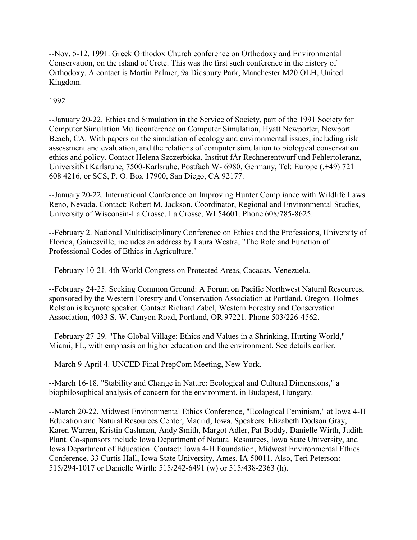--Nov. 5-12, 1991. Greek Orthodox Church conference on Orthodoxy and Environmental Conservation, on the island of Crete. This was the first such conference in the history of Orthodoxy. A contact is Martin Palmer, 9a Didsbury Park, Manchester M20 OLH, United Kingdom.

#### 1992

--January 20-22. Ethics and Simulation in the Service of Society, part of the 1991 Society for Computer Simulation Multiconference on Computer Simulation, Hyatt Newporter, Newport Beach, CA. With papers on the simulation of ecology and environmental issues, including risk assessment and evaluation, and the relations of computer simulation to biological conservation ethics and policy. Contact Helena Szczerbicka, Institut fÅr Rechnerentwurf und Fehlertoleranz, UniversitÑt Karlsruhe, 7500-Karlsruhe, Postfach W- 6980, Germany, Tel: Europe (.+49) 721 608 4216, or SCS, P. O. Box 17900, San Diego, CA 92177.

--January 20-22. International Conference on Improving Hunter Compliance with Wildlife Laws. Reno, Nevada. Contact: Robert M. Jackson, Coordinator, Regional and Environmental Studies, University of Wisconsin-La Crosse, La Crosse, WI 54601. Phone 608/785-8625.

--February 2. National Multidisciplinary Conference on Ethics and the Professions, University of Florida, Gainesville, includes an address by Laura Westra, "The Role and Function of Professional Codes of Ethics in Agriculture."

--February 10-21. 4th World Congress on Protected Areas, Cacacas, Venezuela.

--February 24-25. Seeking Common Ground: A Forum on Pacific Northwest Natural Resources, sponsored by the Western Forestry and Conservation Association at Portland, Oregon. Holmes Rolston is keynote speaker. Contact Richard Zabel, Western Forestry and Conservation Association, 4033 S. W. Canyon Road, Portland, OR 97221. Phone 503/226-4562.

--February 27-29. "The Global Village: Ethics and Values in a Shrinking, Hurting World," Miami, FL, with emphasis on higher education and the environment. See details earlier.

--March 9-April 4. UNCED Final PrepCom Meeting, New York.

--March 16-18. "Stability and Change in Nature: Ecological and Cultural Dimensions," a biophilosophical analysis of concern for the environment, in Budapest, Hungary.

--March 20-22, Midwest Environmental Ethics Conference, "Ecological Feminism," at Iowa 4-H Education and Natural Resources Center, Madrid, Iowa. Speakers: Elizabeth Dodson Gray, Karen Warren, Kristin Cashman, Andy Smith, Margot Adler, Pat Boddy, Danielle Wirth, Judith Plant. Co-sponsors include Iowa Department of Natural Resources, Iowa State University, and Iowa Department of Education. Contact: Iowa 4-H Foundation, Midwest Environmental Ethics Conference, 33 Curtis Hall, Iowa State University, Ames, IA 50011. Also, Teri Peterson: 515/294-1017 or Danielle Wirth: 515/242-6491 (w) or 515/438-2363 (h).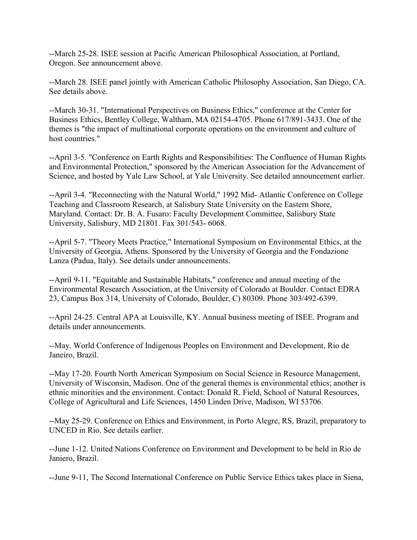--March 25-28. ISEE session at Pacific American Philosophical Association, at Portland, Oregon. See announcement above.

--March 28. ISEE panel jointly with American Catholic Philosophy Association, San Diego, CA. See details above.

--March 30-31. "International Perspectives on Business Ethics," conference at the Center for Business Ethics, Bentley College, Waltham, MA 02154-4705. Phone 617/891-3433. One of the themes is "the impact of multinational corporate operations on the environment and culture of host countries."

--April 3-5. "Conference on Earth Rights and Responsibilities: The Confluence of Human Rights and Environmental Protection," sponsored by the American Association for the Advancement of Science, and hosted by Yale Law School, at Yale University. See detailed announcement earlier.

--April 3-4. "Reconnecting with the Natural World," 1992 Mid- Atlantic Conference on College Teaching and Classroom Research, at Salisbury State University on the Eastern Shore, Maryland. Contact: Dr. B. A. Fusaro: Faculty Development Committee, Salisbury State University, Salisbury, MD 21801. Fax 301/543- 6068.

--April 5-7. "Theory Meets Practice," International Symposium on Environmental Ethics, at the University of Georgia, Athens. Sponsored by the University of Georgia and the Fondazione Lanza (Padua, Italy). See details under announcements.

--April 9-11. "Equitable and Sustainable Habitats," conference and annual meeting of the Environmental Research Association, at the University of Colorado at Boulder. Contact EDRA 23, Campus Box 314, University of Colorado, Boulder, C) 80309. Phone 303/492-6399.

--April 24-25. Central APA at Louisville, KY. Annual business meeting of ISEE. Program and details under announcements.

--May. World Conference of Indigenous Peoples on Environment and Development, Rio de Janeiro, Brazil.

--May 17-20. Fourth North American Symposium on Social Science in Resource Management, University of Wisconsin, Madison. One of the general themes is environmental ethics; another is ethnic minorities and the environment. Contact: Donald R. Field, School of Natural Resources, College of Agricultural and Life Sciences, 1450 Linden Drive, Madison, WI 53706.

--May 25-29. Conference on Ethics and Environment, in Porto Alegre, RS, Brazil, preparatory to UNCED in Rio. See details earlier.

--June 1-12. United Nations Conference on Environment and Development to be held in Rio de Janiero, Brazil.

--June 9-11, The Second International Conference on Public Service Ethics takes place in Siena,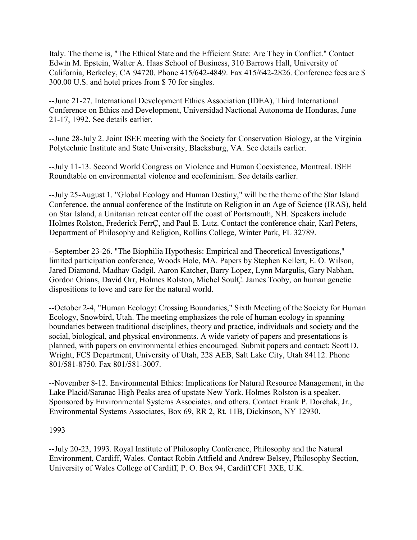Italy. The theme is, "The Ethical State and the Efficient State: Are They in Conflict." Contact Edwin M. Epstein, Walter A. Haas School of Business, 310 Barrows Hall, University of California, Berkeley, CA 94720. Phone 415/642-4849. Fax 415/642-2826. Conference fees are \$ 300.00 U.S. and hotel prices from \$ 70 for singles.

--June 21-27. International Development Ethics Association (IDEA), Third International Conference on Ethics and Development, Universidad Nactional Autonoma de Honduras, June 21-17, 1992. See details earlier.

--June 28-July 2. Joint ISEE meeting with the Society for Conservation Biology, at the Virginia Polytechnic Institute and State University, Blacksburg, VA. See details earlier.

--July 11-13. Second World Congress on Violence and Human Coexistence, Montreal. ISEE Roundtable on environmental violence and ecofeminism. See details earlier.

--July 25-August 1. "Global Ecology and Human Destiny," will be the theme of the Star Island Conference, the annual conference of the Institute on Religion in an Age of Science (IRAS), held on Star Island, a Unitarian retreat center off the coast of Portsmouth, NH. Speakers include Holmes Rolston, Frederick FerrÇ, and Paul E. Lutz. Contact the conference chair, Karl Peters, Department of Philosophy and Religion, Rollins College, Winter Park, FL 32789.

--September 23-26. "The Biophilia Hypothesis: Empirical and Theoretical Investigations," limited participation conference, Woods Hole, MA. Papers by Stephen Kellert, E. O. Wilson, Jared Diamond, Madhav Gadgil, Aaron Katcher, Barry Lopez, Lynn Margulis, Gary Nabhan, Gordon Orians, David Orr, Holmes Rolston, Michel SoulÇ. James Tooby, on human genetic dispositions to love and care for the natural world.

--October 2-4, "Human Ecology: Crossing Boundaries," Sixth Meeting of the Society for Human Ecology, Snowbird, Utah. The meeting emphasizes the role of human ecology in spanning boundaries between traditional disciplines, theory and practice, individuals and society and the social, biological, and physical environments. A wide variety of papers and presentations is planned, with papers on environmental ethics encouraged. Submit papers and contact: Scott D. Wright, FCS Department, University of Utah, 228 AEB, Salt Lake City, Utah 84112. Phone 801/581-8750. Fax 801/581-3007.

--November 8-12. Environmental Ethics: Implications for Natural Resource Management, in the Lake Placid/Saranac High Peaks area of upstate New York. Holmes Rolston is a speaker. Sponsored by Environmental Systems Associates, and others. Contact Frank P. Dorchak, Jr., Environmental Systems Associates, Box 69, RR 2, Rt. 11B, Dickinson, NY 12930.

1993

--July 20-23, 1993. Royal Institute of Philosophy Conference, Philosophy and the Natural Environment, Cardiff, Wales. Contact Robin Attfield and Andrew Belsey, Philosophy Section, University of Wales College of Cardiff, P. O. Box 94, Cardiff CF1 3XE, U.K.